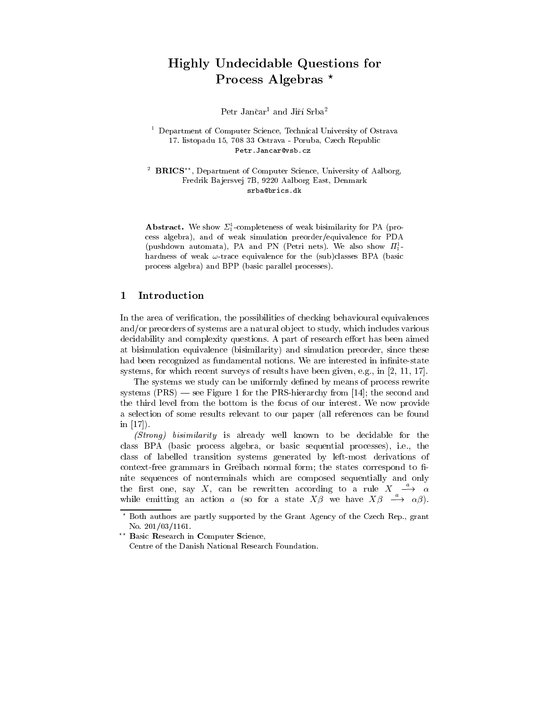# Highly Undecidable Questions for Process Algebras<sup>\*</sup>

Petr Jančar<sup>1</sup> and Jiří Srba<sup>2</sup>

<sup>1</sup> Department of Computer Science, Technical University of Ostrava 17. listopadu 15, 708 33 Ostrava-Poruba, Czech Republic Petr.Jancar@vsb.cz

<sup>2</sup> BRICS<sup>\*\*</sup>, Department of Computer Science, University of Aalborg, Fredrik Ba jersvej 7B, 9220 Aalborg East, Denmark srba@brics.dk

Abstract. We show  $\Sigma_1$ -completeness of weak bisimilarity for PA (process algebra), and of weak simulation preorder/equivalence for PDA (pushdown automata), PA and PN (Petri nets). We also show  $H_1^$ hardness of weak  $\omega$ -trace equivalence for the (sub)classes BPA (basic process algebra) and BPP (basic parallel processes).

# 1 Introduction

In the area of verification, the possibilities of checking behavioural equivalences and/or preorders of systems are a natural object to study, which includes various decidability and complexity questions. A part of research effort has been aimed at bisimulation equivalence (bisimilarity) and simulation preorder, since these had been recognized as fundamental notions. We are interested in infinite-state systems, for which recent surveys of results have been given, e.g., in [2, 11, 17].

The systems we study can be uniformly defined by means of process rewrite systems  $(PRS)$  — see Figure 1 for the PRS-hierarchy from [14]; the second and the third level from the bottom is the focus of our interest. We now provide a selection of some results relevant to our paper (all references can be found in [17]).

(Strong) bisimilarity is already well known to be decidable for the class BPA (basic process algebra, or basic sequential processes), i.e., the class of labelled transition systems generated by left-most derivations of context-free grammars in Greibach normal form; the states correspond to finite sequences of nonterminals which are composed sequentially and only the first one, say X, can be rewritten according to a rule  $X \longrightarrow \alpha$ while emitting an action a (so for a state  $X\beta$  we have  $X\beta \stackrel{a}{\longrightarrow} \alpha\beta$ ).

<sup>?</sup> Both authors are partly supported by the Grant Agency of the Czech Rep., grant No. 201/03/1161.

<sup>&</sup>lt;sup>2</sup> Basic Research in Computer Science,

Centre of the Danish National Research Foundation.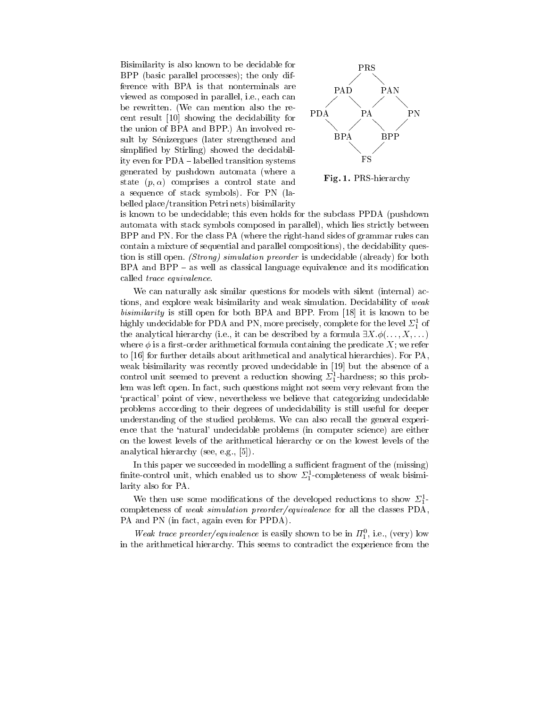Bisimilarity is also known to be decidable for BPP (basic parallel processes); the only difference with BPA is that nonterminals are viewed as composed in parallel, i.e., each can be rewritten. (We can mention also the re-<br> $PDA$ cent result [10] showing the decidability for the union of BPA and BPP.) An involved result by Senizergues (later strengthened and simplied by Stirling) showed the decidability even for PDA - labelled transition systems generated by pushdown automata (where a state  $(p, \alpha)$  comprises a control state and a sequence of stack symbols). For PN (labelled place/transition Petri nets) bisimilarity



Fig. 1. PRS-hierarchy

is known to be undecidable; this even holds for the subclass PPDA (pushdown automata with stack symbols composed in parallel), which lies strictly between BPP and PN. For the class PA (where the right-hand sides of grammar rules can contain a mixture of sequential and parallel compositions), the decidability question is still open. (Strong) simulation preorder is undecidable (already) for both  $BPA$  and  $BPP - as$  well as classical language equivalence and its modification called trace equivalence.

We can naturally ask similar questions for models with silent (internal) actions, and explore weak bisimilarity and weak simulation. Decidability of weak bisimilarity is still open for both BPA and BPP. From [18] it is known to be mightly undecludable for PDA and PN, more precisely, complete for the level  $\mathcal{Z}_1$  of the analytical hierarchy (i.e., it can be described by a formula  $\exists X.\phi(\ldots, X, \ldots)$ ) where  $\phi$  is a first-order arithmetical formula containing the predicate  $X$ ; we refer to [16] for further details about arithmetical and analytical hierarchies). For PA, weak bisimilarity was recently proved undecidable in [19] but the absence of a control unit seemed to prevent a reduction showing  $\mathcal{L}_1$ -hardness; so this problem was left open. In fact, such questions might not seem very relevant from the `practical' point of view, nevertheless we believe that categorizing undecidable problems according to their degrees of undecidability is still useful for deeper understanding of the studied problems. We can also recall the general experience that the `natural' undecidable problems (in computer science) are either on the lowest levels of the arithmetical hierarchy or on the lowest levels of the analytical hierarchy (see, e.g., [5]).

In this paper we succeeded in modelling a sufficient fragment of the (missing)  $\min$  control unit, which enabled us to show  $\mathcal{L}_{\mathrm{I}}$ -completeness of weak bisimilarity also for PA.

We then use some modifications of the developed reductions to show  $\Sigma_1^1$ . <sup>1</sup> completeness of weak simulation preorder/equivalence for all the classes PDA, PA and PN (in fact, again even for PPDA).

weak trace preoraer/equivalence is easily shown to be in  $H_1$ , i.e., (very) low in the arithmetical hierarchy. This seems to contradict the experience from the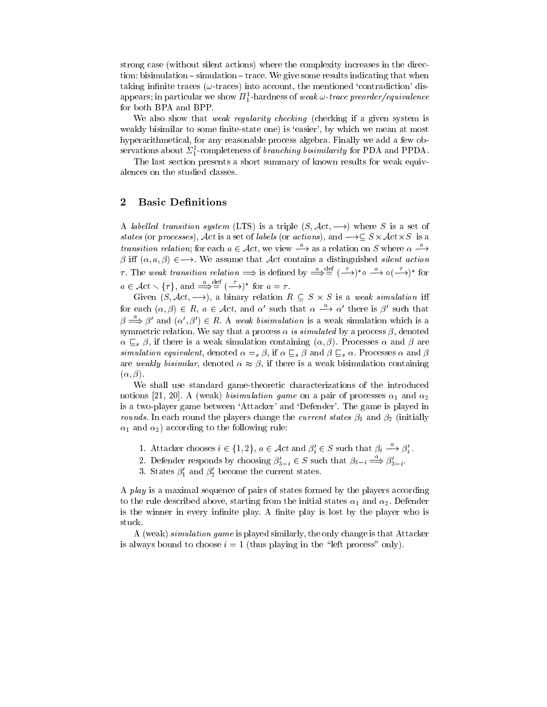strong case (without silent actions) where the complexity increases in the direction: bisimulation  ${\rm -}$  simulation  ${\rm -}$  trace. We give some results indicating that when taking infinite traces ( $\omega$ -traces) into account, the mentioned 'contradiction' disappears; in particular we show  $H_1$ -hardness of *weak*  $\omega$ *-trace preorder/equivalence* for both BPA and BPP.

We also show that *weak regularity checking* (checking if a given system is weakly bisimilar to some finite-state one) is 'easier', by which we mean at most hyperarithmetical, for any reasonable process algebra. Finally we add a few observations about  $\mathcal{L}_1$ -completeness of *branching bisimilarity* for PDA and PPDA.

The last section presents a short summary of known results for weak equivalences on the studied classes.

## 2 Basic Definitions

A labelled transition system (LTS) is a triple  $(S, \mathcal{A}ct, \longrightarrow)$  where S is a set of states (or processes), Act is a set of labels (or actions), and . S - S - I Activity (or actions) transition relation; for each  $a \in \mathcal{A}ct$ , we view  $\longrightarrow$  as a relation on S where  $\alpha \longrightarrow$  $\beta$  iff  $(\alpha, a, \beta) \in \longrightarrow$ . We assume that Act contains a distinguished silent action  $\tau$ . The weak transition relation  $\implies$  is defined by  $\implies$   $=$   $(-\rightarrow)$   $\infty$   $\longrightarrow$   $\circ$   $(-\rightarrow)$  for  $a \in \mathcal{A}ct \setminus {\tau}$ , and  $\implies = (-\rightarrow)^*$  for  $a = \tau$ .

Given (S; Act; a binary relation R  $S$  -simulation R  $S$  -simulation in R  $S$  -simulation in R  $S$  -simulation in R  $S$  -simulation in R  $S$  -simulation in R  $S$  -simulation in R  $S$  -simulation in R  $S$  -simulation in R for each  $(\alpha, \beta) \in R$ ,  $a \in \mathcal{A}ct$ , and  $\alpha'$  such that  $\alpha \longrightarrow \alpha'$  there is  $\beta'$  such that  $\beta \Longrightarrow \beta'$  and  $(\alpha', \beta') \in R$ . A weak bisimulation is a weak simulation which is a symmetric relation. We say that a process  $\alpha$  is simulated by a process  $\beta$ , denoted  $\alpha \subseteq_{s} \beta$ , if there is a weak simulation containing  $(\alpha, \beta)$ . Processes  $\alpha$  and  $\beta$  are simulation equivalent, denoted  $\alpha =_{s} \beta$ , if  $\alpha \subseteq_{s} \beta$  and  $\beta \subseteq_{s} \alpha$ . Processes  $\alpha$  and  $\beta$ are weakly bisimilar, denoted  $\alpha \approx \beta$ , if there is a weak bisimulation containing  $(\alpha, \beta).$ 

We shall use standard game-theoretic characterizations of the introduced notions [21, 20]. A (weak) bisimulation game on a pair of processes  $\alpha_1$  and  $\alpha_2$ is a two-player game between `Attacker' and `Defender'. The game is played in *rounds*. In each round the players change the *current states*  $\beta_1$  and  $\beta_2$  (initially  $\alpha_1$  and  $\alpha_2$ ) according to the following rule:

- 1. Attacker chooses  $i \in \{1,2\}, a \in \mathcal{A}ct$  and  $\beta_i' \in S$  such that  $\beta_i \longrightarrow \beta_i'$ .
- 2. Defender responds by choosing  $\beta'_{3-i} \in S$  such that  $\beta_{3-i} \stackrel{a}{\Longrightarrow} \beta'_{3-i}$ .
- 3. States  $\beta_1'$  and  $\beta_2'$  become the current states.

A *play* is a maximal sequence of pairs of states formed by the players according to the rule described above, starting from the initial states  $\alpha_1$  and  $\alpha_2$ . Defender is the winner in every infinite play. A finite play is lost by the player who is

A (weak) simulation game is played similarly, the only change is that Attacker is always bound to choose  $i = 1$  (thus playing in the "left process" only).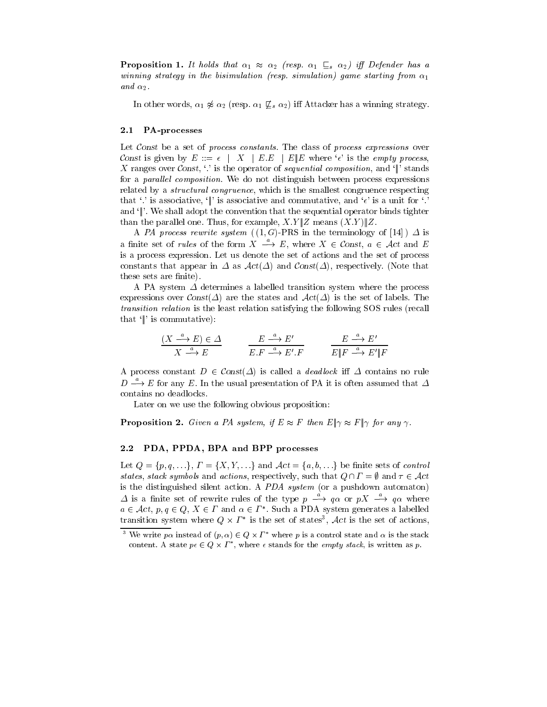**Proposition 1.** It holds that  $\alpha_1 \approx \alpha_2$  (resp.  $\alpha_1 \subseteq_s \alpha_2$ ) iff Defender has a winning strategy in the bisimulation (resp. simulation) game starting from  $\alpha_1$ and  $\alpha_2$ .

In other words,  $\alpha_1 \not\approx \alpha_2$  (resp.  $\alpha_1 \not\subseteq_s \alpha_2$ ) iff Attacker has a winning strategy.

#### 2.1 PA-processes

Let Const be a set of process constants. The class of process expressions over Const is given by  $E ::= \epsilon \mid X \mid E.E \mid E \parallel E$  where ' $\epsilon$ ' is the *empty process*, X ranges over Const,  $\langle \cdot \rangle$  is the operator of sequential composition, and  $\langle \cdot \rangle$  stands for a *parallel composition*. We do not distinguish between process expressions related by a *structural congruence*, which is the smallest congruence respecting that '.' is associative, '||' is associative and commutative, and ' $\epsilon$ ' is a unit for '.' and  $\mathcal{L}$ . We shall adopt the convention that the sequential operator binds tighter than the parallel one. Thus, for example,  $X.Y \| Z$  means  $(X.Y) \| Z.$ 

A PA process rewrite system  $((1, G)-PRS)$  in the terminology of [14]  $\Delta$  is a finite set of *rules* of the form  $X \stackrel{a}{\longrightarrow} E$ , where  $X \in \mathcal{C}$ onst,  $a \in \mathcal{A}ct$  and E is a process expression. Let us denote the set of actions and the set of process constants that appear in  $\Delta$  as  $\mathcal{A}ct(\Delta)$  and  $\mathcal{C}onst(\Delta)$ , respectively. (Note that these sets are finite).

A PA system  $\Delta$  determines a labelled transition system where the process expressions over  $Const(\Delta)$  are the states and  $Act(\Delta)$  is the set of labels. The transition relation is the least relation satisfying the following SOS rules (recall that  $\Vert$  is commutative):

$$
\frac{(X \xrightarrow{a} E) \in \Delta}{X \xrightarrow{a} E} \qquad \frac{E \xrightarrow{a} E'}{E.F \xrightarrow{a} E'.F} \qquad \frac{E \xrightarrow{a} E'}{E \Vert F \xrightarrow{a} E' \Vert F}
$$

A process constant  $D \in Const(\Delta)$  is called a *deadlock* if  $\Delta$  contains no rule  $D \stackrel{a}{\longrightarrow} E$  for any E. In the usual presentation of PA it is often assumed that  $\Delta$ contains no deadlocks.

Later on we use the following obvious proposition:

**Proposition 2.** Given a PA system, if  $E \approx F$  then  $E|\gamma \approx F|\gamma$  for any  $\gamma$ .

#### PDA, PPDA, BPA and BPP processes  $2.2$

Let  $Q = \{p, q, \ldots\}, T = \{X, Y, \ldots\}$  and  $\mathcal{A}ct = \{a, b, \ldots\}$  be finite sets of control states, stack symbols and actions, respectively, such that  $Q \cap \Gamma = \emptyset$  and  $\tau \in \mathcal{A}ct$ is the distinguished silent action. A PDA system (or a pushdown automaton)  $\varDelta$  is a finite set of rewrite rules of the type  $p \rightarrow q\alpha$  or  $pX \rightarrow q\alpha$  where  $a \in \mathcal{A}$ ct,  $p, q \in Q, \; A \in I$  and  $\alpha \in I$  . Such a FDA system generates a labelled transition system where  $Q \times I$  is the set of states ,  $Act$  is the set of actions,

We write  $p\alpha$  instead of  $(p, \alpha) \in Q \times I$  where p is a control state and  $\alpha$  is the stack content. A state  $p \in Q \times I$  , where  $\epsilon$  stands for the *empty stack*, is written as  $p$ .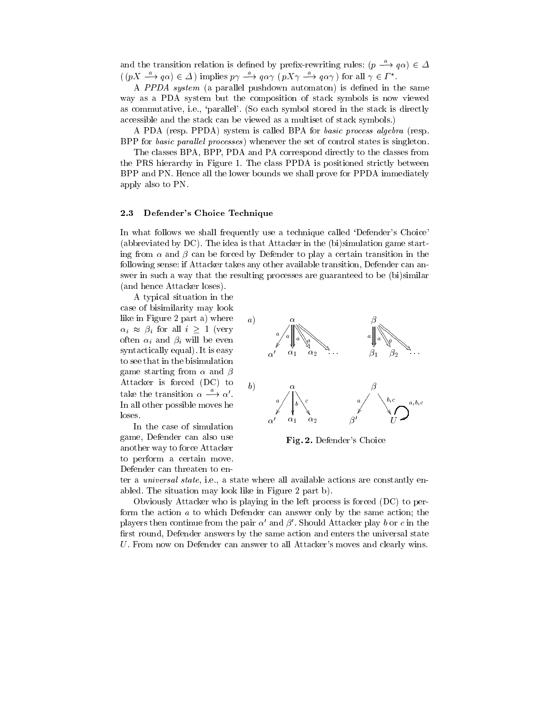and the transition relation is defined by prefix-rewriting rules:  $(p \longrightarrow q\alpha) \in \Delta$  $(pX \longrightarrow q\alpha) \in \Delta$  implies  $p\gamma \longrightarrow q\alpha\gamma$   $(pX\gamma \longrightarrow q\alpha\gamma)$  for all  $\gamma \in I^*$ .

A PPDA system (a parallel pushdown automaton) is defined in the same way as a PDA system but the composition of stack symbols is now viewed as commutative, i.e., `parallel'. (So each symbol stored in the stack is directly accessible and the stack can be viewed as a multiset of stack symbols.)

A PDA (resp. PPDA) system is called BPA for basic process algebra (resp. BPP for basic parallel processes) whenever the set of control states is singleton.

The classes BPA, BPP, PDA and PA correspond directly to the classes from the PRS hierarchy in Figure 1. The class PPDA is positioned strictly between BPP and PN. Hence all the lower bounds we shall prove for PPDA immediately apply also to PN.

#### 2.3 Defender's Choice Technique

In what follows we shall frequently use a technique called `Defender's Choice' (abbreviated by DC). The idea is that Attacker in the (bi)simulation game starting from  $\alpha$  and  $\beta$  can be forced by Defender to play a certain transition in the following sense: if Attacker takes any other available transition, Defender can answer in such a way that the resulting processes are guaranteed to be (bi)similar (and hence Attacker loses).

A typical situation in the case of bisimilarity may look like in Figure 2 part a) where  $a)$  $\alpha_i \approx \beta_i$  for all  $i \geq 1$  (very often  $\alpha_i$  and  $\beta_i$  will be even syntactically equal). It is easy to see that in the bisimulation game starting from  $\alpha$  and  $\beta$ Attacker is forced  $(DC)$  to  $b$ take the transition  $\alpha \longrightarrow \alpha'$ . In all other possible moves he loses.

In the case of simulation game, Defender can also use another way to force Attacker to perform a certain move. Defender can threaten to en-



Fig. 2. Defender's Choice

ter a *universal state*, i.e., a state where all available actions are constantly enabled. The situation may look like in Figure 2 part b).

Obviously Attacker who is playing in the left process is forced (DC) to perform the action a to which Defender can answer only by the same action; the players then continue from the pair  $\alpha'$  and  $\beta'$ . Should Attacker play b or c in the first round, Defender answers by the same action and enters the universal state U. From now on Defender can answer to all Attacker's moves and clearly wins.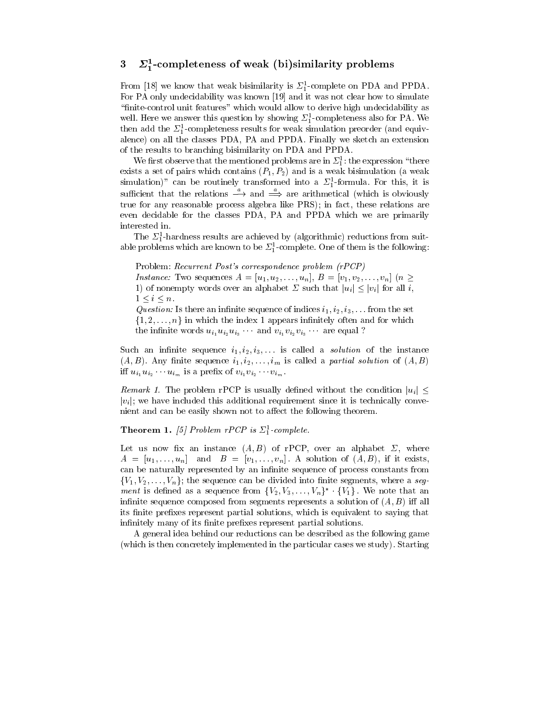# $3 \quad \text{Z}_4$ -completeness of weak (bi)similarity problems

From [18] we know that weak bisimilarity is  $\mathcal{Z}_1$ -complete on PDA and PPDA. For PA only undecidability was known [19] and it was not clear how to simulate "finite-control unit features" which would allow to derive high undecidability as well. Here we allswer this question by showing  $\mathcal{Z}_1^2$ -completeness also for PA. We then add the  $\mathcal{Z}_1$ -completeness results for weak simulation preorder (and equivalence) on all the classes PDA, PA and PPDA. Finally we sketch an extension of the results to branching bisimilarity on PDA and PPDA.

We first observe that the mentioned problems are in  $\mathbb{Z}_1^*$ ; the expression  $\Box$  there exists a set of pairs which contains  $(P_1, P_2)$  and is a weak bisimulation (a weak simulation)" can be routinely transformed into a  $\Sigma_1^1$ -formula. For this, it is  $\frac{1}{\text{surface}}$  is the relations  $\frac{1}{\text{surface}}$  and  $\frac{1}{\text{surface}}$  are arithmetical (which is obviously true for any reasonable process algebra like PRS); in fact, these relations are even decidable for the classes PDA, PA and PPDA which we are primarily interested in.

 $\frac{1}{1}$  ne  $\frac{1}{2}$ -hardness results are achieved by (algorithmic) reductions from suitable problems which are known to be  $\mathcal{Z}_1^+$ -complete. One of them is the following:

Problem: Recurrent Post's correspondence problem (rPCP)

*Instance:* Two sequences  $A = [u_1, u_2, \ldots, u_n], B = [v_1, v_2, \ldots, v_n]$  ( $n >$ 1) of nonempty words over an alphabet  $\Sigma$  such that  $|u_i| \leq |v_i|$  for all i,  $1 \leq i \leq n$ .

Question: Is there an infinite sequence of indices  $i_1, i_2, i_3, \ldots$  from the set  $\{1, 2, \ldots, n\}$  in which the index 1 appears infinitely often and for which the infinite words  $u_{i_1}u_{i_2}u_{i_3}$  and  $v_{i_1}v_{i_2}v_{i_3}$  are equal ?

Such an infinite sequence  $i_1, i_2, i_3, \ldots$  is called a *solution* of the instance  $(A, B)$ . Any finite sequence  $i_1, i_2, \ldots, i_m$  is called a partial solution of  $(A, B)$ iff  $u_{i_1}u_{i_2}\cdots u_{i_m}$  is a prefix of  $v_{i_1}v_{i_2}\cdots v_{i_m}$ .

*Remark 1.* The problem rPCP is usually defined without the condition  $|u_i| \leq$  $|v_i|$ ; we have included this additional requirement since it is technically convenient and can be easily shown not to affect the following theorem.

### **Theorem 1.** [3] Problem  $T\text{C}Y$  is  $\sum_i$ -complete.

Let us now fix an instance  $(A, B)$  of rPCP, over an alphabet  $\Sigma$ , where  $A = [u_1, \ldots, u_n]$  and  $B = [v_1, \ldots, v_n]$ . A solution of  $(A, B)$ , if it exists, can be naturally represented by an infinite sequence of process constants from  ${V_1, V_2, \ldots, V_n}$ ; the sequence can be divided into finite segments, where a seg*ment* is defined as a sequence from  $\{v_2, v_3, \ldots, v_n\}$  .  $\{v_1\}$  . We note that an infinite sequence composed from segments represents a solution of  $(A, B)$  iff all its finite prefixes represent partial solutions, which is equivalent to saying that infinitely many of its finite prefixes represent partial solutions.

A general idea behind our reductions can be described as the following game (which is then concretely implemented in the particular cases we study). Starting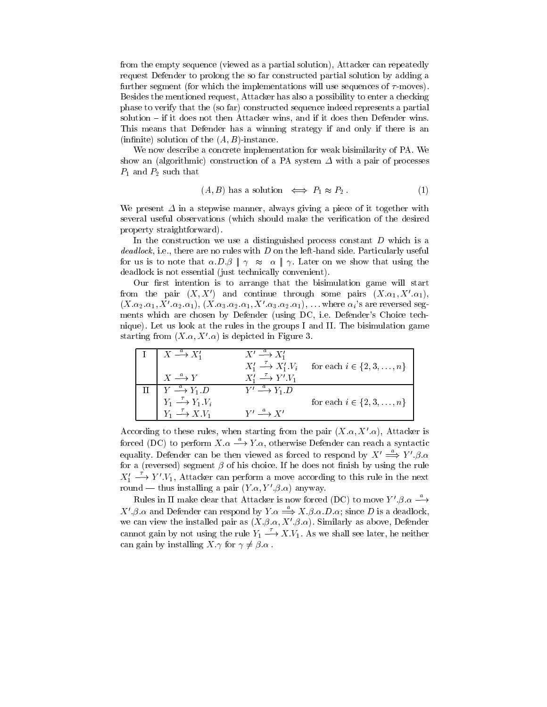from the empty sequence (viewed as a partial solution), Attacker can repeatedly request Defender to prolong the so far constructed partial solution by adding a further segment (for which the implementations will use sequences of  $\tau$ -moves). Besides the mentioned request, Attacker has also a possibility to enter a checking phase to verify that the (so far) constructed sequence indeed represents a partial solution – if it does not then Attacker wins, and if it does then Defender wins. This means that Defender has a winning strategy if and only if there is an (infinite) solution of the  $(A, B)$ -instance.

We now describe a concrete implementation for weak bisimilarity of PA. We show an (algorithmic) construction of a PA system  $\Delta$  with a pair of processes  $P_1$  and  $P_2$  such that

$$
(A, B) has a solution \iff P_1 \approx P_2. \tag{1}
$$

We present  $\Delta$  in a stepwise manner, always giving a piece of it together with several useful observations (which should make the verication of the desired property straightforward).

In the construction we use a distinguished process constant  $D$  which is a  $deadlock$ , i.e., there are no rules with  $D$  on the left-hand side. Particularly useful for us is to note that  $\alpha.D.\beta \parallel \gamma \approx \alpha \parallel \gamma$ . Later on we show that using the deadlock is not essential (just technically convenient).

Our first intention is to arrange that the bisimulation game will start from the pair  $(X, X')$  and continue through some pairs  $(X, \alpha_1, X', \alpha_1)$ ,  $(X.\alpha_2.\alpha_1, X'.\alpha_2.\alpha_1), (X.\alpha_3.\alpha_2.\alpha_1, X'.\alpha_3.\alpha_2.\alpha_1), \ldots$  where  $\alpha_i$ 's are reversed segments which are chosen by Defender (using DC, i.e. Defender's Choice technique). Let us look at the rules in the groups I and II. The bisimulation game starting from  $(X,\alpha,X',\alpha)$  is depicted in Figure 3.

| $X \stackrel{a}{\longrightarrow} X_1'$         | $X' \stackrel{a}{\longrightarrow} X_1'$          |                                |
|------------------------------------------------|--------------------------------------------------|--------------------------------|
|                                                | $X'_1 \stackrel{\tau}{\longrightarrow} X'_1.Y_i$ | for each $i \in \{2, 3, , n\}$ |
| $X \stackrel{a}{\longrightarrow} Y$            | $X'_1 \stackrel{\tau}{\longrightarrow} Y'.V_1$   |                                |
| $Y \stackrel{a}{\longrightarrow} Y_1.D$        | $Y' \stackrel{a}{\longrightarrow} Y_1 D$         |                                |
| $Y_1 \stackrel{\tau}{\longrightarrow} Y_1.V_i$ |                                                  | for each $i \in \{2, 3, , n\}$ |
| $Y_1 \stackrel{\tau}{\longrightarrow} X.V_1$   | $Y' \stackrel{a}{\longrightarrow} Y'$            |                                |

According to these rules, when starting from the pair  $(X,\alpha,X',\alpha)$ , Attacker is forced (DC) to perform  $X.\alpha \stackrel{a}{\longrightarrow} Y.\alpha$ , otherwise Defender can reach a syntactic equality. Defender can be then viewed as forced to respond by  $X' \stackrel{a}{\Longrightarrow} Y'.\beta.\alpha$ for a (reversed) segment  $\beta$  of his choice. If he does not finish by using the rule  $X_1' \longrightarrow Y'.V_1$ , Attacker can perform a move according to this rule in the next round — thus installing a pair  $(Y, \alpha, Y', \beta, \alpha)$  anyway.

Rules in II make clear that Attacker is now forced (DC) to move  $Y'.\beta.\alpha \stackrel{a}{\longrightarrow}$  $X'.\beta.\alpha$  and Defender can respond by  $Y.\alpha \stackrel{a}{\Longrightarrow} X.\beta.\alpha.D.\alpha$ ; since D is a deadlock. we can view the installed pair as  $(X, \beta, \alpha, X', \beta, \alpha)$ . Similarly as above, Defender cannot gain by not using the rule  $Y_1 \longrightarrow X.V_1$ . As we shall see later, he neither can gain by installing  $X \cdot \gamma$  for  $\gamma \neq \beta \cdot \alpha$ .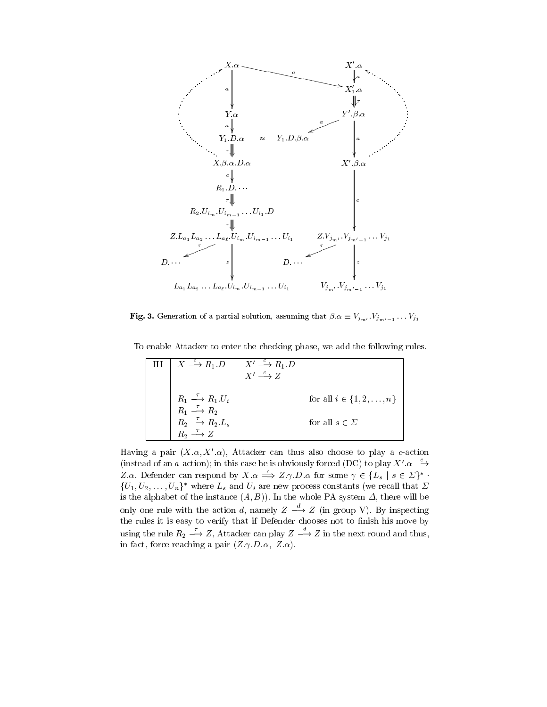

**Fig. 3.** Generation of a partial solution, assuming that  $p \alpha = V_{m} \cdots V_{m'-1} \cdots V_{1}$ 

To enable Attacker to enter the checking phase, we add the following rules.

| $X \stackrel{c}{\longrightarrow} R_1 D$                                                                                                                                                                        | $X' \xrightarrow{c} R_1 D$<br>$X' \stackrel{c}{\longrightarrow} Z$ |                               |
|----------------------------------------------------------------------------------------------------------------------------------------------------------------------------------------------------------------|--------------------------------------------------------------------|-------------------------------|
|                                                                                                                                                                                                                |                                                                    | for all $i \in \{1, 2, , n\}$ |
| $\begin{array}{c} R_1 \stackrel{\tau}{\longrightarrow} R_1.U_i\\ R_1 \stackrel{\tau}{\longrightarrow} R_2\\ R_2 \stackrel{\tau}{\longrightarrow} R_2.L_s\\ R_2 \stackrel{\tau}{\longrightarrow} Z \end{array}$ |                                                                    | for all $s \in \Sigma$        |
|                                                                                                                                                                                                                |                                                                    |                               |

Having a pair  $(X,\alpha,X',\alpha)$ , Attacker can thus also choose to play a c-action (instead of an a-action); in this case he is obviously forced (DC) to play  $X'$   $\alpha \longrightarrow$ Z.a. Defender can respond by  $X.\alpha \Longrightarrow Z.\gamma.D.\alpha$  for some  $\gamma \in \{L_s \mid s \in \Sigma\}^*$ .  $\{U_1, U_2, \ldots, U_n\}^*$  where  $L_s$  and  $U_i$  are new process constants (we recall that  $\Sigma$ is the alphabet of the instance  $(A, B)$ ). In the whole PA system  $\Delta$ , there will be only one rule with the action d, namely  $Z \rightarrow Z$  (in group V). By inspecting the rules it is easy to verify that if Defender chooses not to finish his move by using the rule  $R_2 \longrightarrow Z$ , Attacker can play  $Z \longrightarrow Z$  in the next round and thus, in fact, force reaching a pair  $(Z.\gamma.D.\alpha, Z.\alpha)$ .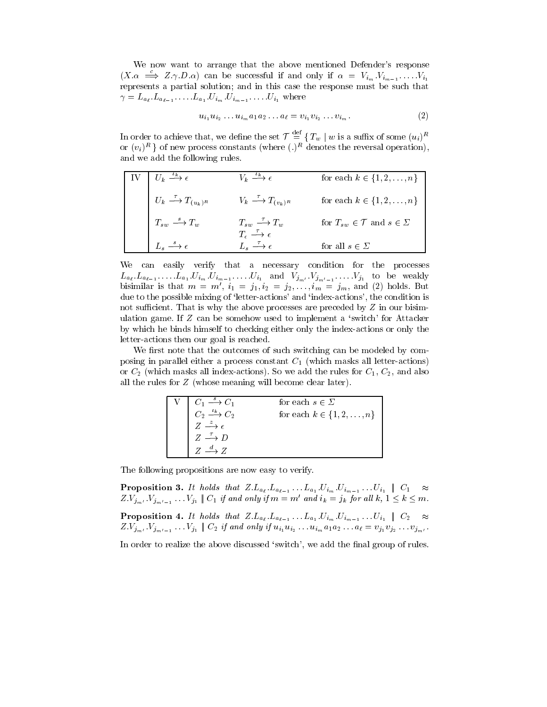We now want to arrange that the above mentioned Defender's response  $(X.\alpha \implies Z.\gamma.D.\alpha)$  can be successful if and only if  $\alpha = V_{i_m}.V_{i_{m-1}}.\dots V_{i_1}$ represents a partial solution; and in this case the response must be such that  $\mu$  is the contract of the contract of  $\mu$  is the contract of  $\mu$  is the contract of  $\mu$ 

$$
u_{i_1} u_{i_2} \dots u_{i_m} a_1 a_2 \dots a_\ell = v_{i_1} v_{i_2} \dots v_{i_m}.
$$
 (2)

In order to achieve that, we define the set  $\mathcal{T} = \{T_w \mid w \text{ is a suffix of some } (u_i)^n\}$ or  $(v_i)$   $\vdots$  for new process constants (where (.) $\vdots$  denotes the reversal operation), and we add the following rules.

| $\mid U_k \stackrel{\iota_k}{\longrightarrow} \epsilon$ | $V_k \stackrel{\iota_k}{\longrightarrow} \epsilon$                                                                   | for each $k \in \{1, 2, , n\}$                       |
|---------------------------------------------------------|----------------------------------------------------------------------------------------------------------------------|------------------------------------------------------|
| $U_k \stackrel{\tau}{\longrightarrow} T_{(u_k)^R}$      | $V_k \longrightarrow T_{(v_k)^R}$                                                                                    | for each $k \in \{1, 2, \ldots, n\}$                 |
| $T_{sw} \stackrel{s}{\longrightarrow} T_w$              | $\begin{array}{ccc}\nT_{sw} & \xrightarrow{\tau} & T_w \\ T_{\epsilon} & \xrightarrow{\tau} & \epsilon\n\end{array}$ | for $T_{sw} \in \mathcal{T}$ and $s \in \mathcal{L}$ |
| $L_s \stackrel{s}{\longrightarrow} \epsilon$            | $L_{\circ} \stackrel{\tau}{\longrightarrow} \epsilon$                                                                | for all $s \in \Sigma$                               |

We can easily verify that a necessary condition for the processes  $\alpha \ell \quad \alpha \ell = 1 \qquad \alpha \quad 1 \qquad \ell m \qquad \ell m = 1 \qquad \qquad \ell \quad 1 \qquad \qquad \ell \quad \text{and} \qquad \ell m' = 1 \qquad \qquad \ell \quad \text{and} \qquad \ell m' = 1 \qquad \qquad \ell \quad \text{and} \qquad \ell m' = 1 \qquad \qquad \ell m' = 1 \qquad \qquad \ell m' = 1 \qquad \qquad \ell m' = 1 \qquad \qquad \ell m'' = 1 \qquad \qquad \ell m'' = 1 \qquad \qquad \ell m'' = 1 \qquad \qquad \ell m'' = 1 \qquad \q$ bisimilar is that  $m = m'$ ,  $i_1 = j_1, i_2 = j_2, \ldots, i_m = j_m$ , and (2) holds. But due to the possible mixing of 'letter-actions' and 'index-actions', the condition is not sufficient. That is why the above processes are preceded by  $Z$  in our bisimulation game. If Z can be somehow used to implement a `switch' for Attacker by which he binds himself to checking either only the index-actions or only the letter-actions then our goal is reached.

We first note that the outcomes of such switching can be modeled by composing in parallel either a process constant  $C_1$  (which masks all letter-actions) or  $C_2$  (which masks all index-actions). So we add the rules for  $C_1, C_2$ , and also all the rules for Z (whose meaning will become clear later).

|                                                                                                                                                 | for each $s \in \Sigma$        |
|-------------------------------------------------------------------------------------------------------------------------------------------------|--------------------------------|
| $\begin{array}{ccc}\n\overline{C_1 \xrightarrow{s} C_1} \\ C_2 \xrightarrow{\iota_k} C_2 \\ \overline{Z \xrightarrow{z} \epsilon}\n\end{array}$ | for each $k \in \{1, 2, , n\}$ |
|                                                                                                                                                 |                                |
| $Z \stackrel{\tau}{\longrightarrow} D$                                                                                                          |                                |
| $Z \stackrel{d}{\longrightarrow} Z$                                                                                                             |                                |

The following propositions are now easy to verify.

 $\Psi$  is the set of the  $\omega$  is that  $\omega$  is the  $\omega$  is that  $\omega$  is the  $\omega$  is the  $\omega$  is the  $\omega$  is the  $\omega$  is the  $\omega$  is the  $\omega$  is the  $\omega$  is the  $\omega$  is the  $\omega$  is the  $\omega$  is the  $\omega$  is the  $\omega$  is the  $\omega$  $Z:V_{j_{m'}},V_{j_{m'-1}}\ldots V_{j_1}\parallel C_1$  if and only if  $m=m$  and  $i_k\equiv j_k$  for all  $\kappa, 1\leq \kappa\leq m$ . Proposition 4. It holds that Z:La` :La`1 :::La1 :Uim:Uim1 :::Ui1 jj C2  $Z:Y_{m}$  if  $J_{m}$  if  $J_{m}$  if  $Y_{m}$  if  $Z_{m}$  if and  $Y_{m}$  if  $u_{1}$  if  $u_{2}$  :  $u_{m}$  and  $u_{m}$  if  $u_{m}$  if  $J_{m}$  if  $J_{m}$  if  $J_{m}$  if  $J_{m}$  if  $J_{m}$  if  $J_{m}$  if  $J_{m}$  if  $J_{m}$  if  $J_{m}$  if  $J_{m}$  if  $J_{m}$ 

In order to realize the above discussed 'switch', we add the final group of rules.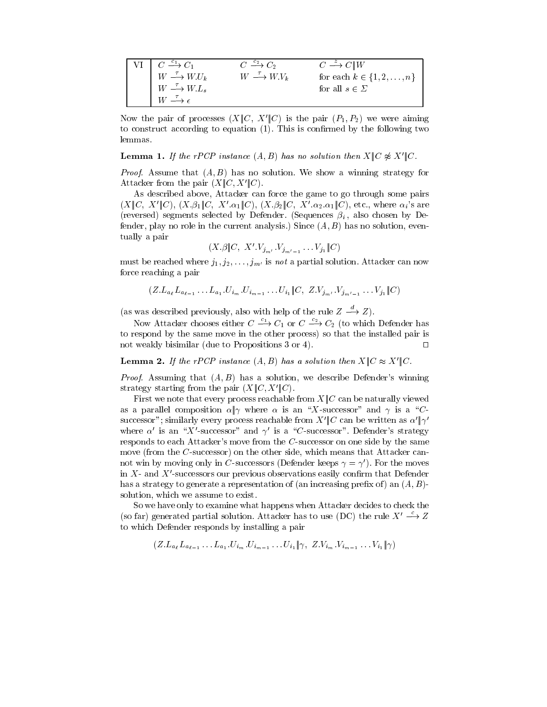| $VI \rightharpoonup C \xrightarrow{c_1} C_1$  | $C \xrightarrow{c_2} C_2$                  | $C \stackrel{z}{\longrightarrow} C \parallel W$ |
|-----------------------------------------------|--------------------------------------------|-------------------------------------------------|
| $W \stackrel{\tau}{\longrightarrow} W.U_k$    | $W \stackrel{\tau}{\longrightarrow} W.V_k$ | for each $k \in \{1, 2, , n\}$                  |
| $W \stackrel{\tau}{\longrightarrow} W.L_s$    |                                            | for all $s \in \Sigma$                          |
| $W \stackrel{\tau}{\longrightarrow} \epsilon$ |                                            |                                                 |

Now the pair of processes  $(X||C, X'||C)$  is the pair  $(P_1, P_2)$  we were aiming to construct according to equation  $(1)$ . This is confirmed by the following two

**Lemma 1.** If the rPCP instance  $(A, B)$  has no solution then  $X \parallel C \not\approx X' \parallel C$ .

*Proof.* Assume that  $(A, B)$  has no solution. We show a winning strategy for Attacker from the pair  $(X||C, X'||C)$ .

As described above, Attacker can force the game to go through some pairs  $(X\llbracket C, X'\llbracket C \rrbracket, (X.\beta_1\llbracket C, X'.\alpha_1\llbracket C \rrbracket, (X.\beta_2\llbracket C, X'.\alpha_2.\alpha_1\llbracket C \rrbracket,$  etc., where  $\alpha_i$ 's are (reversed) segments selected by Defender. (Sequences  $\beta_i$ , also chosen by Defender, play no role in the current analysis.) Since  $(A, B)$  has no solution, eventually a pair

$$
(X.\beta \|C, X'.V_{j_{m'}}, V_{j_{m'-1}} \ldots V_{j_1} \|C)
$$

must be reached where  $j_1, j_2, \ldots, j_{m'}$  is not a partial solution. Attacker can now force reaching a pair

$$
(Z.L_{a_{\ell}}L_{a_{\ell-1}}\ldots L_{a_1}U_{i_m}U_{i_{m-1}}\ldots U_{i_1}\|C, Z.V_{j_{m'}}V_{j_{m'-1}}\ldots V_{j_1}\|C)
$$

(as was described previously, also with help of the rule  $Z \longrightarrow Z$ ).

Now Attacker chooses either  $C \longrightarrow C_1$  or  $C \longrightarrow C_2$  (to which Defender has to respond by the same move in the other process) so that the installed pair is not weakly bisimilar (due to Propositions 3 or 4).  $\Box$ 

**Lemma 2.** If the rPCP instance  $(A, B)$  has a solution then  $X \parallel C \approx X' \parallel C$ .

*Proof.* Assuming that  $(A, B)$  has a solution, we describe Defender's winning strategy starting from the pair  $(X||C, X'||C)$ .

First we note that every process reachable from  $X||C$  can be naturally viewed as a parallel composition  $\alpha \, \parallel \gamma$  where  $\alpha$  is an "X-successor" and  $\gamma$  is a "Csuccessor"; similarly every process reachable from  $X''$  can be written as  $\alpha''$   $\gamma'$ where  $\alpha'$  is an "X'-successor" and  $\gamma'$  is a "C-successor". Defender's strategy responds to each Attacker's move from the  $C$ -successor on one side by the same move (from the C-successor) on the other side, which means that Attacker cannot win by moving only in C-successors (Defender keeps  $\gamma = \gamma'$ ). For the moves in  $X$ - and  $X'$ -successors our previous observations easily confirm that Defender has a strategy to generate a representation of (an increasing prefix of) an  $(A, B)$ solution, which we assume to exist.

So we have only to examine what happens when Attacker decides to check the (so far) generated partial solution. Attacker has to use (DC) the rule  $X' \stackrel{c}{\longrightarrow} Z$ to which Defender responds by installing a pair

$$
(Z.L_{a_{\ell}}L_{a_{\ell-1}}...L_{a_1}.U_{i_m}.U_{i_{m-1}}...U_{i_1}\|\gamma, Z.V_{i_m}.V_{i_{m-1}}...V_{i_1}\|\gamma)
$$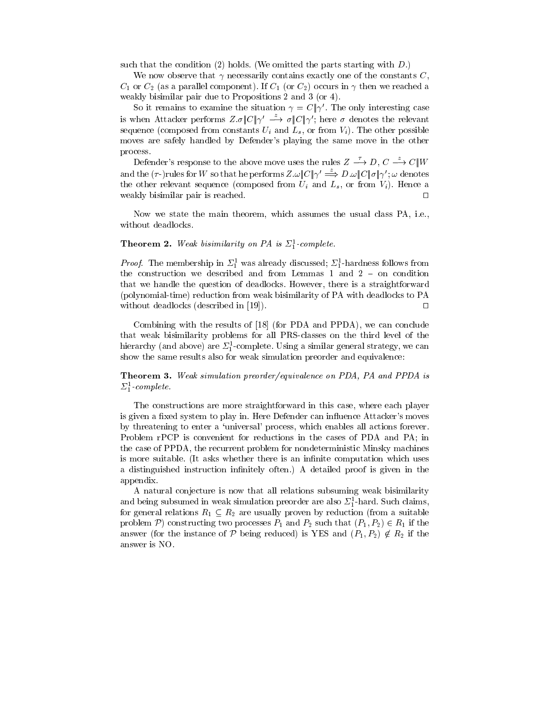such that the condition (2) holds. (We omitted the parts starting with  $D$ .)

We now observe that  $\gamma$  necessarily contains exactly one of the constants C,  $C_1$  or  $C_2$  (as a parallel component). If  $C_1$  (or  $C_2$ ) occurs in  $\gamma$  then we reached a weakly bisimilar pair due to Propositions 2 and 3 (or 4).

So it remains to examine the situation  $\gamma = C || \gamma'$ . The only interesting case is when Attacker performs  $Z.\sigma \|C\| \gamma' \stackrel{z}{\longrightarrow} \sigma \|C\| \gamma'$ ; here  $\sigma$  denotes the relevant sequence (composed from constants  $U_i$  and  $L_s$ , or from  $V_i$ ). The other possible moves are safely handled by Defender's playing the same move in the other process.

Defender's response to the above move uses the rules  $Z \to D, C \to C \|W\|$ and the  $(\tau$ -)rules for W so that he performs  $Z.\omega$   $C\|\gamma' \stackrel{z}{\Longrightarrow} D.\omega\|C\|\sigma\|\gamma'$ ;  $\omega$  denotes the other relevant sequence (composed from  $U_i$  and  $L_s$ , or from  $V_i$ ). Hence a weakly bisimilar pair is reached.  $\Box$ 

Now we state the main theorem, which assumes the usual class PA, i.e., without deadlocks.

#### **Theorem 2.** Weak bisimilarily on PA is  $\mathcal{L}_1$ -complete.

*Proof.* The membership in  $2\frac{1}{1}$  was already discussed;  $2\frac{1}{1}$ -hardness follows from the construction we described and from Lemmas 1 and  $2 -$  on condition that we handle the question of deadlocks. However, there is a straightforward (polynomial-time) reduction from weak bisimilarity of PA with deadlocks to PA without deadlocks (described in [19]).  $\square$ 

Combining with the results of [18] (for PDA and PPDA), we can conclude that weak bisimilarity problems for all PRS-classes on the third level of the merarchy (and above) are  $\mathcal{L}_1$ -complete. Using a similar general strategy, we can show the same results also for weak simulation preorder and equivalence:

Theorem 3. Weak simulation preorder/equivalence on PDA, PA and PPDA is  $\mathcal{L}_1$ -complete.

The constructions are more straightforward in this case, where each player is given a fixed system to play in. Here Defender can influence Attacker's moves by threatening to enter a `universal' process, which enables all actions forever. Problem rPCP is convenient for reductions in the cases of PDA and PA; in the case of PPDA, the recurrent problem for nondeterministic Minsky machines is more suitable. (It asks whether there is an infinite computation which uses a distinguished instruction infinitely often.) A detailed proof is given in the appendix.

A natural conjecture is now that all relations subsuming weak bisimilarity and being subsumed in weak simulation preorder are also  $\mathcal{Z}_1^{\scriptscriptstyle -}$ -nard. Such claims, for general relations  $R_1 \subseteq R_2$  are usually proven by reduction (from a suitable problem P) constructing two processes  $P_1$  and  $P_2$  such that  $(P_1, P_2) \in R_1$  if the answer (for the instance of P being reduced) is YES and  $(P_1, P_2) \notin R_2$  if the answer is NO.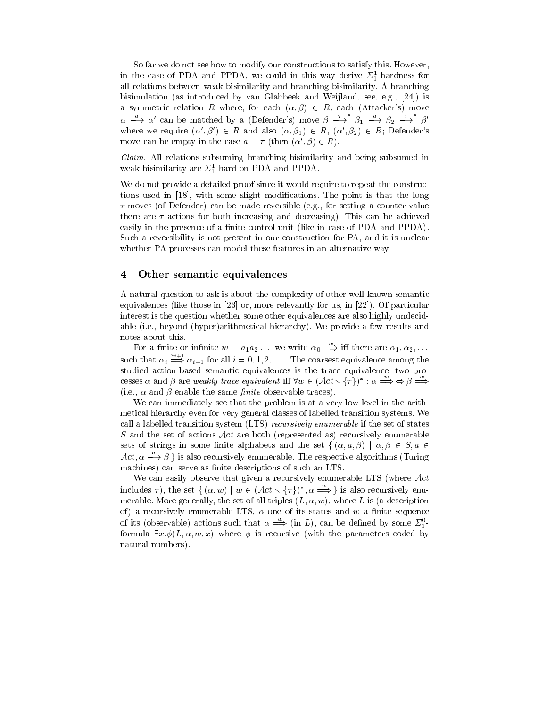So far we do not see how to modify our constructions to satisfy this. However, in the case of PDA and PPDA, we could in this way derive  $\mathcal{Z}_1$ -hardness for all relations between weak bisimilarity and branching bisimilarity. A branching bisimulation (as introduced by van Glabbeek and Weijland, see, e.g., [24]) is a symmetric relation R where, for each  $(\alpha, \beta) \in R$ , each (Attacker's) move  $\alpha \stackrel{\alpha}{\longrightarrow} \alpha'$  can be matched by a (Defender's) move  $\beta \stackrel{\rightarrow}{\longrightarrow} \beta_1 \stackrel{\alpha}{\longrightarrow} \beta_2 \stackrel{\rightarrow}{\longrightarrow} \beta'$ where we require  $(\alpha', \beta') \in R$  and also  $(\alpha, \beta_1) \in R$ ,  $(\alpha', \beta_2) \in R$ ; Defender's move can be empty in the case  $a = \tau$  (then  $(\alpha', \beta) \in R$ ).

Claim. All relations subsuming branching bisimilarity and being subsumed in weak bisimilarity are  $\mathcal{Z}_1^*$ -hard on PDA and PPDA.

We do not provide a detailed proof since it would require to repeat the constructions used in [18], with some slight modications. The point is that the long  $\tau$ -moves (of Defender) can be made reversible (e.g., for setting a counter value there are  $\tau$ -actions for both increasing and decreasing). This can be achieved easily in the presence of a finite-control unit (like in case of PDA and PPDA). Such a reversibility is not present in our construction for PA, and it is unclear whether PA processes can model these features in an alternative way.

# 4 Other semantic equivalences

A natural question to ask is about the complexity of other well-known semantic equivalences (like those in [23] or, more relevantly for us, in [22]). Of particular interest is the question whether some other equivalences are also highly undecidable (i.e., beyond (hyper)arithmetical hierarchy). We provide a few results and notes about this.

For a finite or infinite  $w = a_1 a_2 \dots$  we write  $\alpha_0 \stackrel{w}{\Longrightarrow}$  iff there are  $\alpha_1, \alpha_2, \dots$ such that  $\alpha_i \stackrel{a_{i+1}}{\Longrightarrow} \alpha_{i+1}$  for all  $i = 0, 1, 2, \ldots$ . The coarsest equivalence among the studied action-based semantic equivalences is the trace equivalence: two processes  $\alpha$  and  $\beta$  are weakly trace equivalent iff  $\forall w \in (Act \setminus {\{\tau\}})^* : \alpha \Longrightarrow \Leftrightarrow \beta \Longrightarrow$ (i.e.,  $\alpha$  and  $\beta$  enable the same *finite* observable traces).

We can immediately see that the problem is at a very low level in the arithmetical hierarchy even for very general classes of labelled transition systems. We call a labelled transition system (LTS) *recursively enumerable* if the set of states S and the set of actions  $\mathcal{A}ct$  are both (represented as) recursively enumerable sets of strings in some finite alphabets and the set  $\{(\alpha, a, \beta) \mid \alpha, \beta \in S, a \in$  $\mathcal{A}ct$ ,  $\alpha \longrightarrow \beta$  } is also recursively enumerable. The respective algorithms (Turing machines) can serve as finite descriptions of such an LTS.

We can easily observe that given a recursively enumerable LTS (where  $Act$ includes  $\tau$ ), the set  $\{(\alpha, w) \mid w \in ( \mathcal{A}ct \setminus \{\tau\})^*, \alpha \implies \}$  is also recursively enumerable. More generally, the set of all triples  $(L, \alpha, w)$ , where L is (a description of) a recursively enumerable LTS,  $\alpha$  one of its states and w a finite sequence of its (observable) actions such that  $\alpha \implies$  (in L), can be defined by some  $\Sigma_1^{\alpha-}$ formula  $\exists x.\phi(L, \alpha, w, x)$  where  $\phi$  is recursive (with the parameters coded by natural numbers).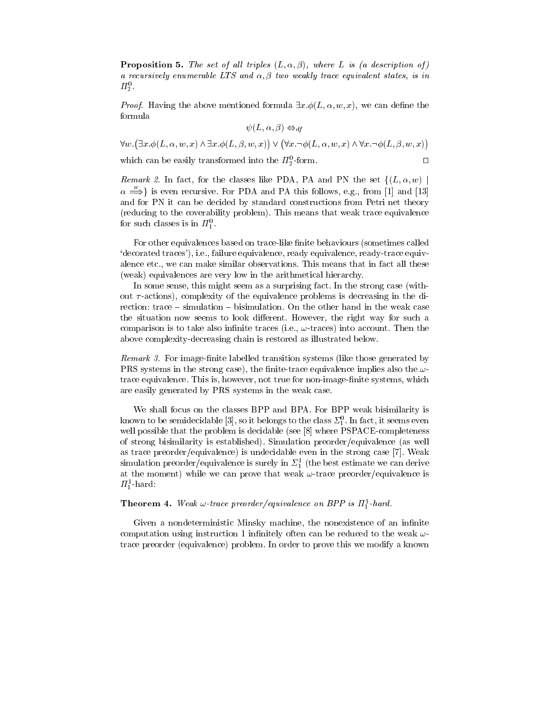**Proposition 5.** The set of all triples  $(L, \alpha, \beta)$ , where L is (a description of) a recursively enumerable LTS and  $\alpha$ ,  $\beta$  two weakly trace equivalent states, is in  $\mathbf{u}_2$  .

*Proof.* Having the above mentioned formula  $\exists x.\phi(L,\alpha,w,x)$ , we can define the formula

$$
\psi(L, \alpha, \beta) \Leftrightarrow_{df}
$$

 $\forall w. (\exists x. \phi(L, \alpha, w, x) \land \exists x. \phi(L, \beta, w, x)) \lor (\forall x. \neg \phi(L, \alpha, w, x) \land \forall x. \neg \phi(L, \beta, w, x))$ 

 $\Box$ 

which can be easily transformed into the  $n_2$ -form.

Remark 2. In fact, for the classes like PDA, PA and PN the set  $\{(L, \alpha, w)\}$  $\alpha \implies$  is even recursive. For PDA and PA this follows, e.g., from [1] and [13] and for PN it can be decided by standard constructions from Petri net theory (reducing to the coverability problem). This means that weak trace equivalence for such classes is in  $\pi_1$ .

For other equivalences based on trace-like finite behaviours (sometimes called `decorated traces'), i.e., failure equivalence, ready equivalence, ready-trace equivalence etc., we can make similar observations. This means that in fact all these (weak) equivalences are very low in the arithmetical hierarchy.

In some sense, this might seem as a surprising fact. In the strong case (without  $\tau$ -actions), complexity of the equivalence problems is decreasing in the direction:  $trace - simulation - bisimulation$ . On the other hand in the weak case the situation now seems to look different. However, the right way for such a comparison is to take also infinite traces (i.e.,  $\omega$ -traces) into account. Then the above complexity-decreasing chain is restored as illustrated below.

Remark 3. For image-finite labelled transition systems (like those generated by PRS systems in the strong case), the finite-trace equivalence implies also the  $\omega$ trace equivalence. This is, however, not true for non-image-finite systems, which are easily generated by PRS systems in the weak case.

We shall focus on the classes BPP and BPA. For BPP weak bisimilarity is known to be semidecidable  $[\mathfrak{d}],$  so it belongs to the class  $\mathbb{Z}_1^+.$  In fact, it seems even well possible that the problem is decidable (see [8] where PSPACE-completeness of strong bisimilarity is established). Simulation preorder/equivalence (as well as trace preorder/equivalence) is undecidable even in the strong case [7]. Weak simulation preorder/equivalence is surely in  $z_1$  (the best estimate we can derive at the moment) while we can prove that weak  $\omega$ -trace preorder/equivalence is  $\mu_1$ -nard:

#### **Theorem 4.** Weak  $\omega$ -trace preorder/equivalence on BPP is  $\pi_1^2$ -hard.

Given a nondeterministic Minsky machine, the nonexistence of an infinite computation using instruction 1 infinitely often can be reduced to the weak  $\omega$ trace preorder (equivalence) problem. In order to prove this we modify a known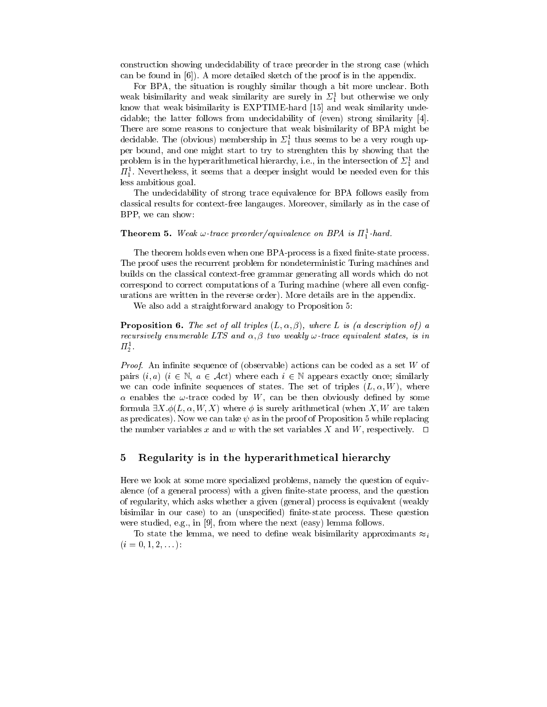construction showing undecidability of trace preorder in the strong case (which can be found in [6]). A more detailed sketch of the proof is in the appendix.

For BPA, the situation is roughly similar though a bit more unclear. Both weak bisimilarity and weak similarity are surely in  $\mathcal{Z}_1^+$  but otherwise we only know that weak bisimilarity is EXPTIME-hard [15] and weak similarity undecidable; the latter follows from undecidability of (even) strong similarity [4]. There are some reasons to conjecture that weak bisimilarity of BPA might be decidable. The (obvious) membership in  $z_{\rm i}$  thus seems to be a very rough upper bound, and one might start to try to strenghten this by showing that the problem is in the hyperarithmetical merarchy, i.e., in the intersection of  $z_{\tilde{1}}$  and  $n_1$ . Nevertheless, it seems that a deeper insight would be needed even for this less ambitious goal.

The undecidability of strong trace equivalence for BPA follows easily from classical results for context-free langauges. Moreover, similarly as in the case of BPP, we can show:

#### **Theorem 5.** Weak  $\omega$ -trace preorder/equivalence on BPA is  $H_1^*$ -hard.

The theorem holds even when one BPA-process is a fixed finite-state process. The proof uses the recurrent problem for nondeterministic Turing machines and builds on the classical context-free grammar generating all words which do not correspond to correct computations of a Turing machine (where all even congurations are written in the reverse order). More details are in the appendix.

We also add a straightforward analogy to Proposition 5:

**Proposition 6.** The set of all triples  $(L, \alpha, \beta)$ , where L is (a description of) a recursively enumerable LTS and  $\alpha, \beta$  two weakly  $\omega$ -trace equivalent states, is in  $H_2$  .

*Proof.* An infinite sequence of (observable) actions can be coded as a set  $W$  of pairs  $(i, a)$   $(i \in \mathbb{N}, a \in \mathcal{A}ct)$  where each  $i \in \mathbb{N}$  appears exactly once; similarly we can code infinite sequences of states. The set of triples  $(L, \alpha, W)$ , where  $\alpha$  enables the  $\omega$ -trace coded by W, can be then obviously defined by some formula  $\exists X.\phi(L, \alpha, W, X)$  where  $\phi$  is surely arithmetical (when X, W are taken as predicates). Now we can take  $\psi$  as in the proof of Proposition 5 while replacing the number variables x and w with the set variables X and W, respectively.  $\square$ 

#### $\overline{5}$ Regularity is in the hyperarithmetical hierarchy

Here we look at some more specialized problems, namely the question of equivalence (of a general process) with a given finite-state process, and the question of regularity, which asks whether a given (general) process is equivalent (weakly bisimilar in our case) to an (unspecified) finite-state process. These question were studied, e.g., in [9], from where the next (easy) lemma follows.

To state the lemma, we need to define weak bisimilarity approximants  $\approx_i$  $(i = 0, 1, 2, \ldots):$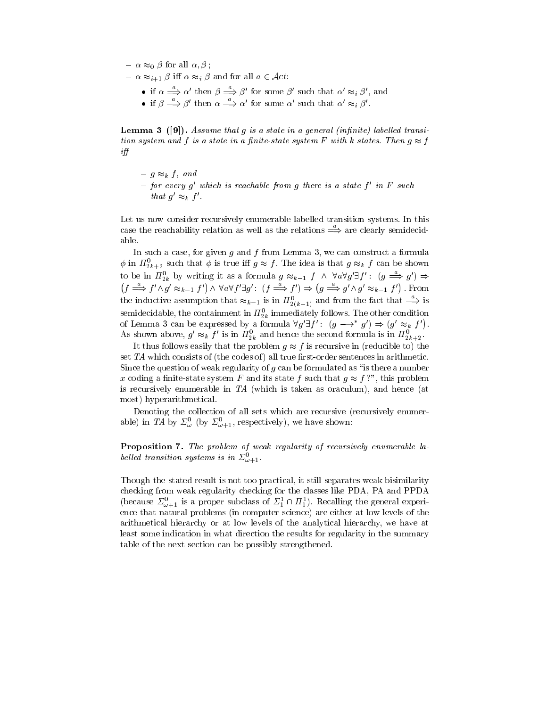$-\alpha \approx_0 \beta$  for all  $\alpha, \beta$ ;

- $-\alpha \approx_{i+1} \beta$  iff  $\alpha \approx_i \beta$  and for all  $a \in \mathcal{A}ct$ :
	- if  $\alpha \Longrightarrow \alpha'$  then  $\beta \Longrightarrow \beta'$  for some  $\beta'$  such that  $\alpha' \approx_i \beta'$ , and
	- if  $\beta \Longrightarrow \beta'$  then  $\alpha \Longrightarrow \alpha'$  for some  $\alpha'$  such that  $\alpha' \approx_i \beta'$ .

**Lemma 3** ([9]). Assume that g is a state in a general (infinite) labelled transition system and f is a state in a finite-state system F with k states. Then  $g \approx f$  $if f$ 

- ${-} g \approx_k f, and$
- ${ -}$  for every g' which is reachable from g there is a state f' in F such that  $g' \approx_k f'$ .

Let us now consider recursively enumerable labelled transition systems. In this case the reachability relation as well as the relations  $\stackrel{a}{\Longrightarrow}$  are clearly semidecid-

In such a case, for given  $g$  and  $f$  from Lemma 3, we can construct a formula  $\varphi$  in  $n_{2k+2}$  such that  $\varphi$  is true in  $g \approx f$  . The idea is that  $g \approx_k f$  can be shown to be in  $H_{2k}^0$  by writing it as a formula  $g \approx_{k-1} f \wedge \forall a \forall g' \exists f' : (g \Longrightarrow g') \Rightarrow$  $(f \stackrel{\omega}{\Longrightarrow} f' \wedge g' \approx_{k-1} f') \wedge \forall a \forall f' \exists g' : (f \stackrel{\omega}{\Longrightarrow} f') \Rightarrow (g \stackrel{\omega}{\Longrightarrow} g' \wedge g' \approx_{k-1} f')$ . From the inductive assumption that  $\approx_{k-1}$  is in  $H_{2(k-1)}^o$  and from the fact that  $\Longrightarrow$  is semidecidable, the containment in  $H_{2k}^+$  immediately follows. The other condition of Lemma 3 can be expressed by a formula  $\forall g' \exists f' : (g \rightarrow^* g') \Rightarrow (g' \approx_k f')$ . As shown above,  $g \approx_k J$  is in  $H_{2k}$  and hence the second formula is in  $H_{2k+2}$ .

It thus follows easily that the problem  $g \approx f$  is recursive in (reducible to) the set  $TA$  which consists of (the codes of) all true first-order sentences in arithmetic. Since the question of weak regularity of  $g$  can be formulated as "is there a number x coding a finite-state system F and its state f such that  $g \approx f$ ?", this problem is recursively enumerable in  $TA$  (which is taken as oraculum), and hence (at most) hyperarithmetical.

Denoting the collection of all sets which are recursive (recursively enumerable) in TA by  $\Sigma^0_\omega$  (by  $\Sigma^0_{\omega+1}$ , respectively), we have shown:

Proposition 7. The problem of weak regularity of recursively enumerable labelled transition systems is in  $\Sigma_{\omega+1}^0$ .

Though the stated result is not too practical, it still separates weak bisimilarity checking from weak regularity checking for the classes like PDA, PA and PPDA (because  $\omega_{\omega+1}$  is a proper subclass of  $\omega_1^*$  (if  $n_1^*$ ). Recalling the general experience that natural problems (in computer science) are either at low levels of the arithmetical hierarchy or at low levels of the analytical hierarchy, we have at least some indication in what direction the results for regularity in the summary table of the next section can be possibly strengthened.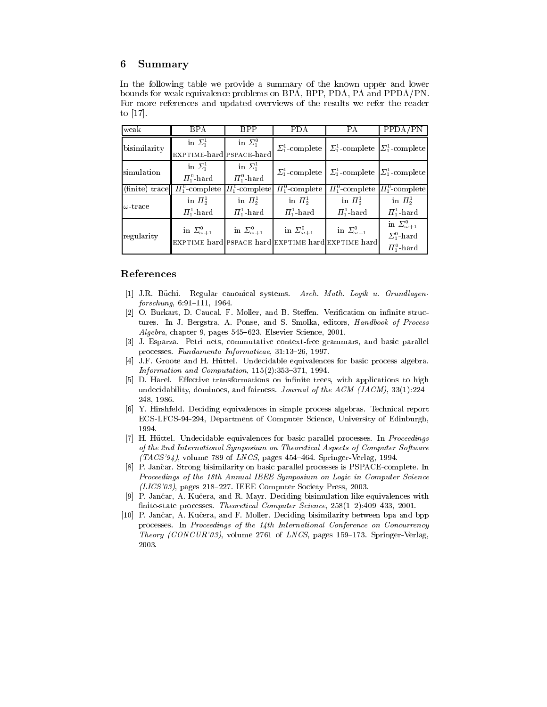# 6 Summary

In the following table we provide a summary of the known upper and lower bounds for weak equivalence problems on BPA, BPP, PDA, PA and PPDA/PN. For more references and updated overviews of the results we refer the reader to [17].

| weak            | BPA                                      | <b>BPP</b>               | <b>PDA</b>               | PA                                                                   | PPDA/PN                  |
|-----------------|------------------------------------------|--------------------------|--------------------------|----------------------------------------------------------------------|--------------------------|
| bisimilarity    | in $\Sigma_1^1$                          | in $\Sigma_1^0$          |                          | $\Sigma_1^1$ -complete $\Sigma_1^1$ -complete $\Sigma_1^1$ -complete |                          |
|                 | EXPTIME-hard PSPACE-hard                 |                          |                          |                                                                      |                          |
| simulation      | in $\Sigma_1^1$                          | in $\Sigma_1^1$          |                          | $\Sigma_1^1$ -complete $\Sigma_1^1$ -complete $\Sigma_1^1$ -complete |                          |
|                 | $\Pi^0_1$ -hard                          | $\Pi^0_1$ -hard          |                          |                                                                      |                          |
| (finite) trace  | $\Pi_1^0$ -complete $ \Pi_1^0$ -complete |                          | $\Pi_1^0$ -complete      | $\Pi_1^0$ -complete $\Pi_1^0$ -complete                              |                          |
| $\omega$ -trace | in $\Pi^1_2$                             | in $\Pi^1_2$             | in $\Pi_2^1$             | in $\Pi^1_2$                                                         | in $\Pi_2^1$             |
|                 | $\Pi^1_1$ -hard                          | $\Pi^1_1$ -hard          | $\Pi^1_1$ -hard          | $\Pi^1_1$ -hard                                                      | $\Pi_1^1$ -hard          |
|                 | in $\Sigma_{\omega+1}^0$                 | in $\Sigma_{\omega+1}^0$ | in $\Sigma_{\omega+1}^0$ | in $\Sigma_{\omega+1}^0$                                             | in $\Sigma_{\omega+1}^0$ |
| regularity      |                                          |                          |                          |                                                                      | $\Sigma^0_1$ -hard       |
|                 |                                          |                          |                          | EXPTIME-hard PSPACE-hard EXPTIME-hard EXPTIME-hard                   | $\Pi^0_1$ -hard          |

# References

- [1] J.R. Büchi. Regular canonical systems. Arch. Math. Logik u. Grundlagen $forschung, 6:91-111, 1964.$
- [2] O. Burkart, D. Caucal, F. Moller, and B. Steffen. Verification on infinite structures. In J. Bergstra, A. Ponse, and S. Smolka, editors, Handbook of Process Algebra, chapter 9, pages 545-623. Elsevier Science, 2001.
- [3] J. Esparza. Petri nets, commutative context-free grammars, and basic parallel processes. Fundamenta Informaticae, 31:13-26, 1997.
- [4] J.F. Groote and H. Huttel. Undecidable equivalences for basic process algebra. Information and Computation,  $115(2):353-371$ , 1994.
- [5] D. Harel. Effective transformations on infinite trees, with applications to high undecidability, dominoes, and fairness. Journal of the ACM (JACM),  $33(1):224-$ 248, 1986.
- [6] Y. Hirshfeld. Deciding equivalences in simple process algebras. Technical report ECS-LFCS-94-294, Department of Computer Science, University of Edinburgh, 1994.
- [7] H. Hüttel. Undecidable equivalences for basic parallel processes. In *Proceedings* of the 2nd International Symposium on Theoretical Aspects of Computer Software  $(TACS'94)$ , volume 789 of *LNCS*, pages 454-464. Springer-Verlag, 1994.
- [8] P. Jancar. Strong bisimilarity on basic parallel processes is PSPACE-complete. In Proceedings of the 18th Annual IEEE Symposium on Logic in Computer Science  $(LICS'03)$ , pages 218-227. IEEE Computer Society Press, 2003.
- [9] P. Jancar, A. Kucera, and R. Mayr. Deciding bisimulation-like equivalences with finite-state processes. Theoretical Computer Science,  $258(1–2):409–433, 2001$ .
- [10] P. Jancar, A. Kucera, and F. Moller. Deciding bisimilarity between bpa and bpp processes. In Proceedings of the 14th International Conference on Concurrency Theory (CONCUR'03), volume 2761 of LNCS, pages 159-173. Springer-Verlag, 2003.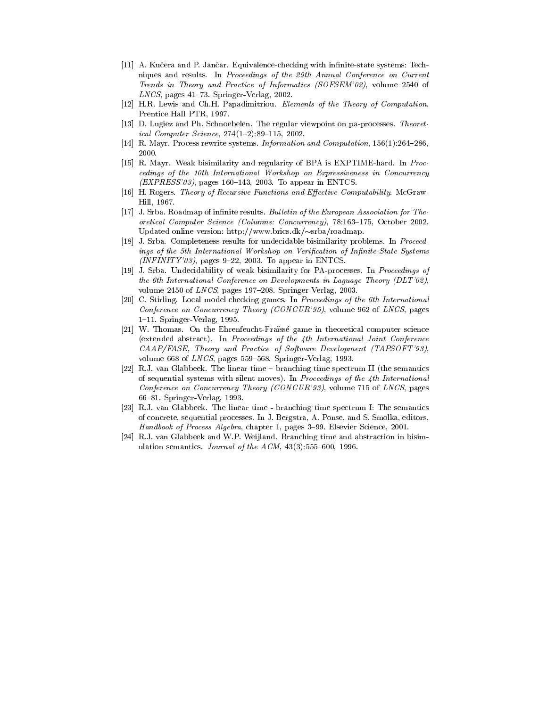- [11] A. Kučera and P. Jančar. Equivalence-checking with infinite-state systems: Techniques and results. In Proceedings of the 29th Annual Conference on Current Trends in Theory and Practice of Informatics (SOFSEM'02), volume 2540 of  $LNCS$ , pages 41–73. Springer-Verlag, 2002.
- [12] H.R. Lewis and Ch.H. Papadimitriou. Elements of the Theory of Computation. Prentice Hall PTR, 1997.
- [13] D. Lugiez and Ph. Schnoebelen. The regular viewpoint on pa-processes. Theoretical Computer Science,  $274(1–2):89–115, 2002$ .
- [14] R. Mayr. Process rewrite systems. Information and Computation,  $156(1):264{-}286$ , 2000.
- [15] R. Mayr. Weak bisimilarity and regularity of BPA is EXPTIME-hard. In Proc cedings of the 10th International Workshop on Expressiveness in Concurrency  $(EXPRESS'03)$ , pages 160-143, 2003. To appear in ENTCS.
- [16] H. Rogers. Theory of Recursive Functions and Effective Computability. McGraw-Hill, 1967.
- [17] J. Srba. Roadmap of infinite results. Bulletin of the European Association for Theoretical Computer Science (Columns: Concurrency), 78:163-175, October 2002. Updated online version: http://www.brics.dk/~srba/roadmap.
- [18] J. Srba. Completeness results for undecidable bisimilarity problems. In Proceedings of the 5th International Workshop on Verification of Infinite-State Systems  $(INFINITE'03)$ , pages 9-22, 2003. To appear in ENTCS.
- [19] J. Srba. Undecidability of weak bisimilarity for PA-processes. In Proceedings of the 6th International Conference on Developments in Laguage Theory (DLT'02), volume 2450 of  $LNCS$ , pages 197-208. Springer-Verlag, 2003.
- [20] C. Stirling. Local model checking games. In Proceedings of the 6th International Conference on Concurrency Theory (CONCUR'95), volume 962 of LNCS, pages 1{11. Springer-Verlag, 1995.
- [21] W. Thomas. On the Ehrenfeucht-Frasse game in theoretical computer science (extended abstract). In Proceedings of the 4th International Joint Conference CAAP/FASE, Theory and Practice of Software Development (TAPSOFT'93), volume 668 of  $LNCS$ , pages 559-568. Springer-Verlag, 1993.
- [22] R.J. van Glabbeek. The linear time branching time spectrum II (the semantics of sequential systems with silent moves). In Proceedings of the 4th International Conference on Concurrency Theory (CONCUR'93), volume 715 of LNCS, pages 66{81. Springer-Verlag, 1993.
- [23] R.J. van Glabbeek. The linear time branching time spectrum I: The semantics of concrete, sequential processes. In J. Bergstra, A. Ponse, and S. Smolka, editors, Handbook of Process Algebra, chapter 1, pages 3-99. Elsevier Science, 2001.
- [24] R.J. van Glabbeek and W.P. Weijland. Branching time and abstraction in bisimulation semantics. Journal of the  $ACM$ , 43(3):555-600, 1996.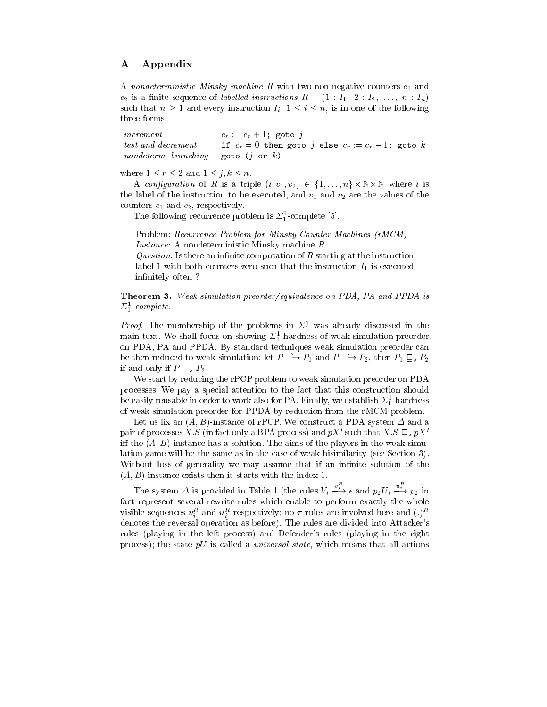# A Appendix

A nondeterministic Minsky machine  $R$  with two non-negative counters  $c_1$  and  $c_2$  is a finite sequence of *labelled instructions*  $R = (1 : I_1, 2 : I_2, \ldots, n : I_n)$ such that  $n \geq 1$  and every instruction  $I_i, 1 \leq i \leq n$ , is in one of the following three forms:

increment  $c_r := c_r + 1$ ; goto j test and decrement if  $c_r = 0$  then goto j else  $c_r := c_r - 1$ ; goto k nondeterm. branching goto  $(j \text{ or } k)$ 

where  $1 \le r \le 2$  and  $1 \le j, k \le n$ .

A construction of R is a triple (i; v2) 2 f1; v1; i; i; i; i; i; v1; i; v1; v2) 2 f1; i; t; i; i; i; i; i; i; i the label of the instruction to be executed, and  $v_1$  and  $v_2$  are the values of the counters  $c_1$  and  $c_2$ , respectively.

I ne following recurrence problem is  $\mathcal{Z}_1$ -complete [5].

Problem: Recurrence Problem for Minsky Counter Machines (rMCM) Instance: A nondeterministic Minsky machine R.

Question: Is there an infinite computation of  $R$  starting at the instruction label 1 with both counters zero such that the instruction  $I_1$  is executed infinitely often?

Theorem 3. Weak simulation preorder/equivalence on PDA, PA and PPDA is  $\mathcal{L}_1$  complete.

*Proof.* The membership of the problems in  $\mathcal{Z}_1^+$  was already discussed in the main text. We shall focus on showing  $\mathcal{L}_1^+$ -hardness of weak simulation preorder on PDA, PA and PPDA. By standard techniques weak simulation preorder can be then reduced to weak simulation: let  $P \longrightarrow P_1$  and  $P \longrightarrow P_2$ , then  $P_1 \sqsubseteq_s P_2$ if and only if  $P =_s P_2$ .

We start by reducing the rPCP problem to weak simulation preorder on PDA processes. We pay a special attention to the fact that this construction should be easily reusable in order to work also for PA. Finally, we establish  $\mathcal{Z}_{\bar{1}}$ -hardness of weak simulation preorder for PPDA by reduction from the rMCM problem.

Let us fix an  $(A, B)$ -instance of rPCP. We construct a PDA system  $\Delta$  and a pair of processes X.S (in fact only a BPA process) and  $pX'$  such that  $X.S\sqsubseteq_s pX'$ iff the  $(A, B)$ -instance has a solution. The aims of the players in the weak simulation game will be the same as in the case of weak bisimilarity (see Section 3). Without loss of generality we may assume that if an infinite solution of the  $(A, B)$ -instance exists then it starts with the index 1.

The system  $\Delta$  is provided in Table 1 (the rules  $V_i \stackrel{v_i}{\longrightarrow} \epsilon$  and  $p_2 U_i \stackrel{u_i}{\longrightarrow} p_2$  in fact represent several rewrite rules which enable to perform exactly the whole visible sequences  $v_i$  and  $u_i$  respectively; no  $\tau$ -rules are involved here and (.) denotes the reversal operation as before). The rules are divided into Attacker's rules (playing in the left process) and Defender's rules (playing in the right process); the state  $pU$  is called a *universal state*, which means that all actions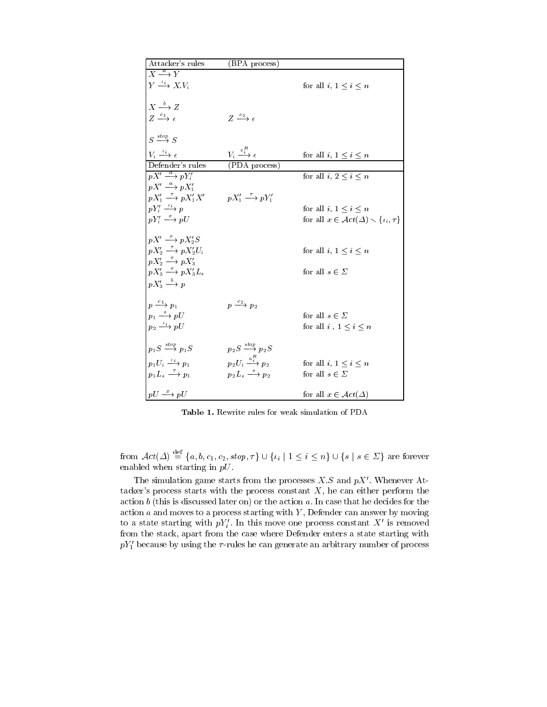| Attacker's rules                                                                                    | (BPA process)                                    |                                                               |
|-----------------------------------------------------------------------------------------------------|--------------------------------------------------|---------------------------------------------------------------|
| $X \xrightarrow{a} Y$                                                                               |                                                  |                                                               |
| $Y \stackrel{\iota_i}{\longrightarrow} X.V_i$                                                       |                                                  | for all i, $1 \leq i \leq n$                                  |
|                                                                                                     |                                                  |                                                               |
| $X \xrightarrow{b} Z$                                                                               |                                                  |                                                               |
| $Z \xrightarrow{c_1} \epsilon$                                                                      | $Z \xrightarrow{c_2} \epsilon$                   |                                                               |
|                                                                                                     |                                                  |                                                               |
| $S \stackrel{stop}{\longrightarrow} S$                                                              |                                                  |                                                               |
| $V_i \stackrel{\iota_i}{\longrightarrow} \epsilon$                                                  | $V_i \stackrel{v_i^R}{\longrightarrow} \epsilon$ | for all $i,\,1\leq i\leq n$                                   |
| Defender's rules                                                                                    | (PDA process)                                    |                                                               |
| $pX' \stackrel{a}{\longrightarrow} pY_i'$                                                           |                                                  | for all i, $2 \leq i \leq n$                                  |
| $pX' \stackrel{a}{\longrightarrow} pX_1'$                                                           |                                                  |                                                               |
| $pX'_1 \stackrel{\tau}{\longrightarrow} pX'_1X'$ $pX'_1 \stackrel{\tau}{\longrightarrow} pY'_1$     |                                                  |                                                               |
| $pY'_i \stackrel{\iota_i}{\longrightarrow} p$                                                       |                                                  | for all i, $1 \leq i \leq n$                                  |
| $pY_i' \stackrel{x}{\longrightarrow} pU$                                                            |                                                  | for all $x \in \mathcal{A}ct(\Delta) \setminus \{i_i, \tau\}$ |
|                                                                                                     |                                                  |                                                               |
| $pX' \stackrel{\tau}{\longrightarrow} pX_2'S$                                                       |                                                  |                                                               |
| $pX_2' \stackrel{\tau}{\longrightarrow} pX_2'U_i$                                                   |                                                  | for all $i, 1 \leq i \leq n$                                  |
| $pX_2' \stackrel{\tau}{\longrightarrow} pX_3'$<br>$pX_3' \stackrel{\tau}{\longrightarrow} pX_3'L_s$ |                                                  |                                                               |
|                                                                                                     |                                                  | for all $s \in \Sigma$                                        |
| $pX'_3 \stackrel{b}{\longrightarrow} p$                                                             |                                                  |                                                               |
| $p \xrightarrow{c_1} p_1$                                                                           | $p \xrightarrow{c_2} p_2$                        |                                                               |
| $p_1 \stackrel{s}{\longrightarrow} pU$                                                              |                                                  | for all $s \in \Sigma$                                        |
| $p_2 \xrightarrow{i_i} pU$                                                                          |                                                  | for all $i, 1 \leq i \leq n$                                  |
|                                                                                                     |                                                  |                                                               |
| $p_1S \stackrel{stop}{\longrightarrow} p_1S$                                                        | $p_2S \stackrel{stop}{\longrightarrow} p_2S$     |                                                               |
| $p_1U_i \stackrel{\iota_i}{\longrightarrow} p_1$                                                    | $p_2U_i \stackrel{u_i^R}{\longrightarrow} p_2$   |                                                               |
| $p_1L_s \stackrel{\tau}{\longrightarrow} p_1$                                                       | $p_2L_s \stackrel{s}{\longrightarrow} p_2$       | for all i, $1 \leq i \leq n$<br>for all $s \in \Sigma$        |
|                                                                                                     |                                                  |                                                               |
| $pU \stackrel{x}{\longrightarrow} pU$                                                               |                                                  | for all $x \in \mathcal{A}\mathit{ct}(\Delta)$                |
|                                                                                                     |                                                  |                                                               |

Table 1. Rewrite rules for weak simulation of PDA

from  $\mathcal{A}ct(\Delta) = \{a, b, c_1, c_2, stop, \tau\} \cup \{t_i \mid 1 \leq i \leq n\} \cup \{s \mid s \in \Sigma\}$  are forever enabled when starting in pU.

The simulation game starts from the processes  $X.S$  and  $pX'$ . Whenever Attacker's process starts with the process constant  $X$ , he can either perform the action  $b$  (this is discussed later on) or the action  $a$ . In case that he decides for the action  $a$  and moves to a process starting with  $Y$ , Defender can answer by moving to a state starting with  $p_{T_i}$ . In this move one process constant  $\Lambda$  is removed from the stack, apart from the case where Defender enters a state starting with  $pY'_{1}$  because by using the  $\tau$ -rules he can generate an arbitrary number of process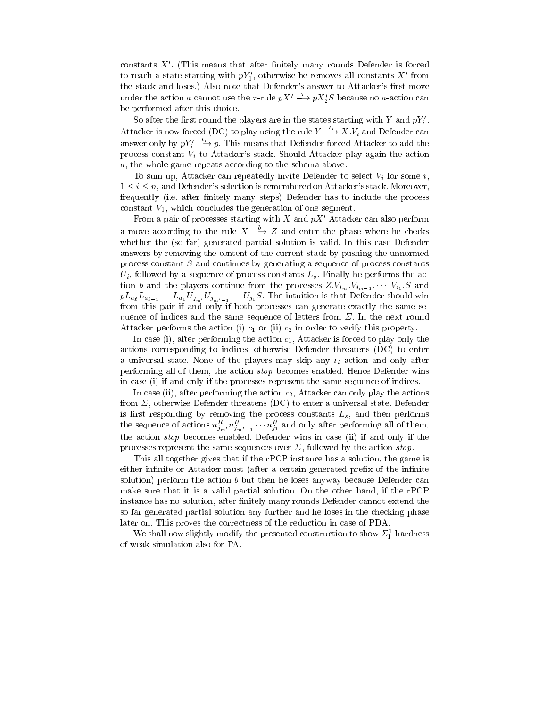constants  $X'$ . (This means that after finitely many rounds Defender is forced to reach a state starting with  $pY_1'$ , otherwise he removes all constants X' from the stack and loses.) Also note that Defender's answer to Attacker's first move under the action a cannot use the  $\tau$ -rule  $pX' \stackrel{\tau}{\longrightarrow} pX'_{2}S$  because no a-action can be performed after this choice.

So after the first round the players are in the states starting with Y and  $pY_i'$ . Attacker is now forced (DC) to play using the rule  $Y \longrightarrow X.V_i$  and Defender can answer only by  $pY_i' \stackrel{\iota_i}{\longrightarrow} p$ . This means that Defender forced Attacker to add the process constant  $V_i$  to Attacker's stack. Should Attacker play again the action a, the whole game repeats according to the schema above.

To sum up, Attacker can repeatedly invite Defender to select  $V_i$  for some i,  $1 \leq i \leq n$ , and Defender's selection is remembered on Attacker's stack. Moreover, frequently (i.e. after finitely many steps) Defender has to include the process constant  $V_1$ , which concludes the generation of one segment.

From a pair of processes starting with  $X$  and  $pX'$  Attacker can also perform a move according to the rule  $X \stackrel{b}{\longrightarrow} Z$  and enter the phase where he checks whether the (so far) generated partial solution is valid. In this case Defender answers by removing the content of the current stack by pushing the unnormed process constant  $S$  and continues by generating a sequence of process constants  $U_i$ , followed by a sequence of process constants  $L_s$ . Finally he performs the action b and the players continue from the processes  $Z.V_{i_m}.V_{i_{m-1}}.\cdots V_{i_1}.S$  and  $p\left\{u\in\mathbb{R}^d\mid u\in\mathbb{R}^d\mid\mathbb{R}^d\mid\mathbb{R}^d\right\}$  is the internal internal internal internal internal internal internal internal internal internal internal internal internal internal internal internal internal inter from this pair if and only if both processes can generate exactly the same sequence of indices and the same sequence of letters from  $\Sigma$ . In the next round Attacker performs the action (i)  $c_1$  or (ii)  $c_2$  in order to verify this property.

In case (i), after performing the action  $c_1$ , Attacker is forced to play only the actions corresponding to indices, otherwise Defender threatens (DC) to enter a universal state. None of the players may skip any  $\iota_i$  action and only after performing all of them, the action stop becomes enabled. Hence Defender wins in case (i) if and only if the processes represent the same sequence of indices.

In case (ii), after performing the action  $c_2$ , Attacker can only play the actions from  $\Sigma$ , otherwise Defender threatens (DC) to enter a universal state. Defender is responding by removing the process constants constants  $\rho$  then performs  $\rho$ the sequence of actions  $u_{j_{m'}} u_{j_{m'-1}} \cdots u_{j_1}$  and omly after performing all of them, the action stop becomes enabled. Defender wins in case (ii) if and only if the processes represent the same sequences over  $\Sigma$ , followed by the action stop.

This all together gives that if the rPCP instance has a solution, the game is either infinite or Attacker must (after a certain generated prefix of the infinite solution) perform the action  $b$  but then he loses anyway because Defender can make sure that it is a valid partial solution. On the other hand, if the rPCP instance has no solution, after finitely many rounds Defender cannot extend the so far generated partial solution any further and he loses in the checking phase later on. This proves the correctness of the reduction in case of PDA.

We shall now slightly modify the presented construction to show  $\mathcal{Z}_1$ -hardness of weak simulation also for PA.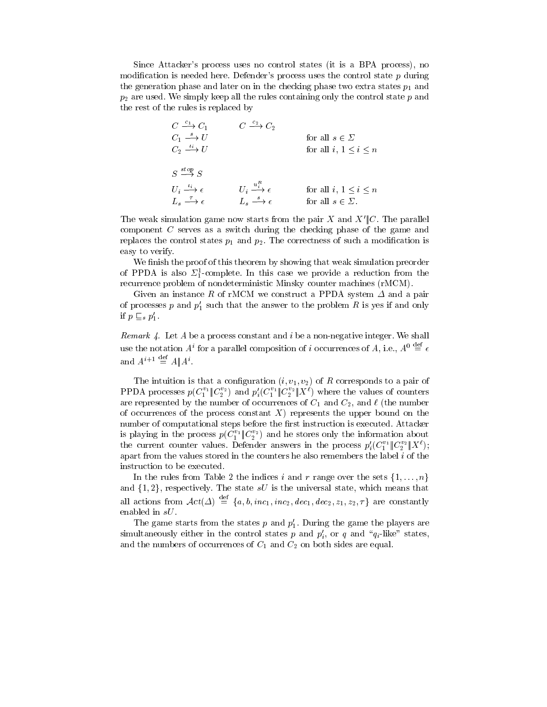Since Attacker's process uses no control states (it is a BPA process), no modification is needed here. Defender's process uses the control state  $p$  during the generation phase and later on in the checking phase two extra states  $p_1$  and  $p_2$  are used. We simply keep all the rules containing only the control state  $p$  and the rest of the rules is replaced by

| $C \stackrel{c_1}{\longrightarrow} C_1$            | $C \stackrel{c_2}{\longrightarrow} C_2$          |                              |  |
|----------------------------------------------------|--------------------------------------------------|------------------------------|--|
| $C_1 \stackrel{s}{\longrightarrow} U$              |                                                  | for all $s \in \Sigma$       |  |
| $C_2 \longrightarrow U$                            |                                                  | for all $i, 1 \leq i \leq n$ |  |
|                                                    |                                                  |                              |  |
| $S \stackrel{stop}{\longrightarrow} S$             |                                                  |                              |  |
| $U_i \stackrel{\iota_i}{\longrightarrow} \epsilon$ | $U_i \stackrel{u_i^R}{\longrightarrow} \epsilon$ | for all $i, 1 \leq i \leq n$ |  |
| $L_s \stackrel{\tau}{\longrightarrow} \epsilon$    | $L_s \stackrel{s}{\longrightarrow} \epsilon$     | for all $s \in \Sigma$ .     |  |

The weak simulation game now starts from the pair X and  $X^{\prime}||C$ . The parallel component C serves as a switch during the checking phase of the game and replaces the control states  $p_1$  and  $p_2$ . The correctness of such a modification is easy to verify.

We finish the proof of this theorem by showing that weak simulation preorder of PPDA is also  $\mathcal{Z}_1$ -complete. In this case we provide a reduction from the recurrence problem of nondeterministic Minsky counter machines (rMCM).

Given an instance R of rMCM we construct a PPDA system  $\Delta$  and a pair of processes p and  $p_1'$  such that the answer to the problem R is yes if and only if  $p \sqsubseteq_s p'_1$ .

Remark  $4$ . Let  $A$  be a process constant and  $i$  be a non-negative integer. We shall use the notation  $A^i$  for a parallel composition of i occurrences of A, i.e.,  $A^0 \stackrel{\text{def}}{=} \epsilon$ and  $A^{i+1} \stackrel{\text{def}}{=} A \mathbb{I} A^i$ .

The intuition is that a configuration  $(i, v_1, v_2)$  of R corresponds to a pair of PPDA processes  $p(C_1^{\perp} \| C_2^{\perp})$  and  $p_i(C_1^{\perp} \| C_2^{\perp} \| X^{\perp})$  where the values of counters are represented by the number of occurrences of  $C_1$  and  $C_2$ , and  $\ell$  (the number of occurrences of the process constant  $X$ ) represents the upper bound on the number of computational steps before the first instruction is executed. Attacker is playing in the process  $p(C_1^+ \| C_2^+ )$  and he stores only the information about the current counter values. Defender answers in the process  $p_i'(C_1^{v_1} \| C_2^{v_2} \| X^{\ell});$ apart from the values stored in the counters he also remembers the label  $i$  of the instruction to be executed.

In the rules from Table 2 the indices i and r range over the sets  $\{1,\ldots,n\}$ and  $\{1, 2\}$ , respectively. The state sU is the universal state, which means that all actions from  $\mathcal{A}ct(\Delta) \stackrel{\text{def}}{=} \{a, b, inc_1, inc_2, dec_1, dec_2, z_1, z_2, \tau\}$  are constantly enabled in sU.

The game starts from the states p and  $p_1'$ . During the game the players are simultaneously either in the control states  $p$  and  $p_i$ , or  $q$  and  $\,q_i$ -like states, and the numbers of occurrences of  $C_1$  and  $C_2$  on both sides are equal.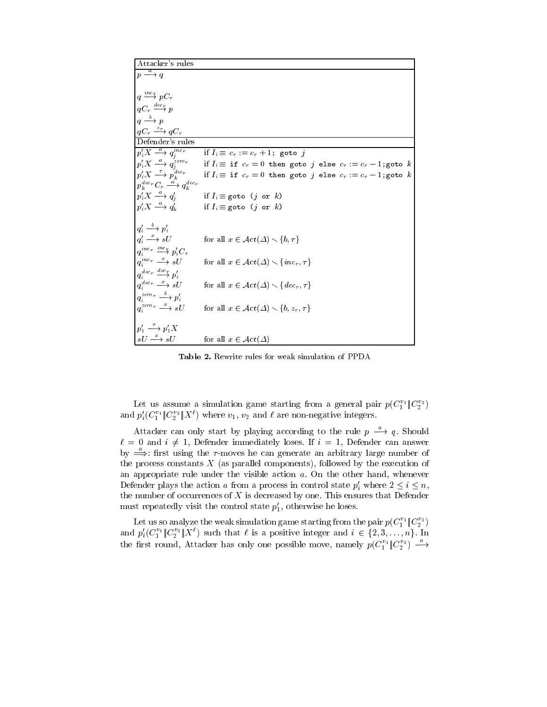| Attacker's rules                                         |                                                                                                                                                                                                                                    |
|----------------------------------------------------------|------------------------------------------------------------------------------------------------------------------------------------------------------------------------------------------------------------------------------------|
| $p \stackrel{a}{\longrightarrow} q$                      |                                                                                                                                                                                                                                    |
| $q \stackrel{inc_r}{\longrightarrow} pC_r$               |                                                                                                                                                                                                                                    |
| $qC_r \stackrel{dec}{\longrightarrow} p$                 |                                                                                                                                                                                                                                    |
| $q \xrightarrow{b} p$                                    |                                                                                                                                                                                                                                    |
| $qC_r \xrightarrow{z_r} qC_r$                            |                                                                                                                                                                                                                                    |
| Defender's rules                                         |                                                                                                                                                                                                                                    |
| $p_i' X \stackrel{a}{\longrightarrow} q_i^{inc}r$        | if $I_i \equiv c_r := c_r + 1$ ; goto j                                                                                                                                                                                            |
|                                                          | $p'_i X \xrightarrow{\tau} q^{zero}_{j}$ if $I_i \equiv$ if $c_r = 0$ then goto j else $c_r := c_r - 1$ ; goto k<br>$p'_i X \xrightarrow{\tau} p_k^{decp}$ if $I_i \equiv$ if $c_r = 0$ then goto j else $c_r := c_r - 1$ ; goto k |
|                                                          |                                                                                                                                                                                                                                    |
| $p_{\iota}^{dec}C_r \xrightarrow{a} q_{\iota}^{dec}r$    |                                                                                                                                                                                                                                    |
| $p'_i X \stackrel{a}{\longrightarrow} q'_i$              | if $I_i \equiv$ goto (j or k)                                                                                                                                                                                                      |
| $p'_i X \stackrel{a}{\longrightarrow} q'_k$              | if $I_i \equiv$ goto (j or k)                                                                                                                                                                                                      |
| $q'_i \stackrel{b}{\longrightarrow} p'_i$                |                                                                                                                                                                                                                                    |
| $q'_i \stackrel{x}{\longrightarrow} sU$                  | for all $x \in \mathcal{A}ct(\Delta) \setminus \{b, \tau\}$                                                                                                                                                                        |
| $q_i^{inc_r} \stackrel{inc_r}{\longrightarrow} p'_i C_r$ |                                                                                                                                                                                                                                    |
| $q_i^{\mathit{inc}_r} \overset{x}{\longrightarrow} sU$   | for all $x \in \mathcal{A}ct(\Delta) \setminus \{inc_r, \tau\}$                                                                                                                                                                    |
| $q_i^{dec} \stackrel{dec}{\longrightarrow} p_i'$         |                                                                                                                                                                                                                                    |
| $q_i^{dec} \longrightarrow sU$                           | for all $x \in \mathcal{A}ct(\Delta) \setminus \{dec_r, \tau\}$                                                                                                                                                                    |
| $q_i^{zero} \rightarrow p_i'$                            |                                                                                                                                                                                                                                    |
| $q_i^{zero_r} \xrightarrow{x} sU$                        | for all $x \in \mathcal{A}ct(\Delta) \setminus \{b, z_r, \tau\}$                                                                                                                                                                   |
|                                                          |                                                                                                                                                                                                                                    |
| $p'_1 \stackrel{\tau}{\longrightarrow} p'_1 X$           |                                                                                                                                                                                                                                    |
| $sU \stackrel{x}{\longrightarrow} sU$                    | for all $x \in \mathcal{A}ct(\Delta)$                                                                                                                                                                                              |

Table 2. Rewrite rules for weak simulation of PPDA

Let us assume a simulation game starting from a general pair  $p(C_1^+ | C_2^-)$ and  $p_i(C_1^+ \| C_2^+ \| A^c)$  where  $v_1, v_2$  and  $\ell$  are non-negative integers.

Attacker can only start by playing according to the rule  $p \rightarrow q$ . Should  $\ell = 0$  and  $i \neq 1$ , Defender immediately loses. If  $i = 1$ , Defender can answer by  $\Rightarrow$ : first using the  $\tau$ -moves he can generate an arbitrary large number of the process constants  $X$  (as parallel components), followed by the execution of an appropriate rule under the visible action  $a$ . On the other hand, whenever Defender plays the action a from a process in control state  $p'_i$  where  $2 \leq i \leq n$ , the number of occurrences of  $X$  is decreased by one. This ensures that Defender must repeatedly visit the control state  $p_1'$ , otherwise he loses.

Let us so analyze the weak simulation game starting from the pair  $p(C_1^+ | C_2^+ )$ and  $p_i(C_1^* \| C_2^* \| \Lambda^*)$  such that  $\ell$  is a positive integer and  $i \in \{2, 3, \ldots, n\}$ . In the first round, Attacker has only one possible move, namely  $p(C_1^{\nu_1} \| C_2^{\nu_2}) \longrightarrow$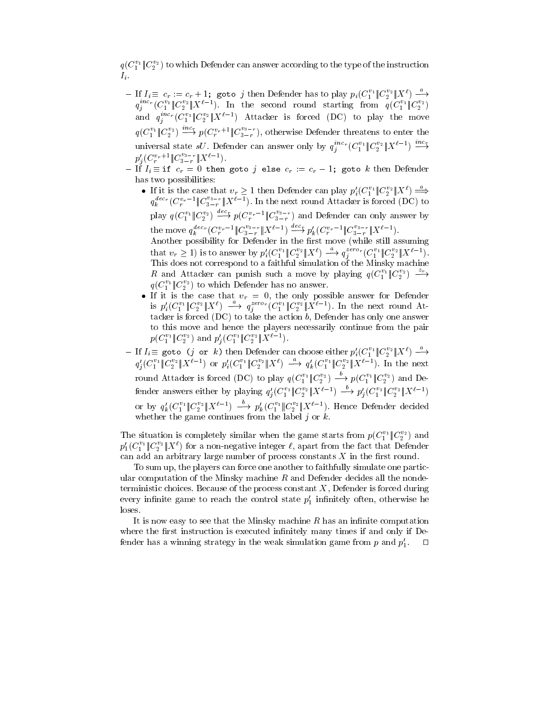$q(C_1^{\pm 1}|C_2^{\pm})$  to which Defender can answer according to the type of the instruction  $I_{i}$ .

- $I_i = I_i \equiv c_r := c_r + 1;$  goto  $j$  then Defender has to play  $p_i(C_1^{v_1} \| C_2^{v_2} \| X^\ell) \stackrel{a}{\longrightarrow}$  $q_j$  (C<sub>1</sub>  $\|C_2^2\|X^{(j)}\|$ ). In the second round starting from  $q(C_1^+ \|C_2^2)$ and  $q_i^{m-r} (C_1^{\text{-}1} \| C_2^{\text{-}} \| X^{\text{-}1})$  Attacker is forced (DC) to play the move  $q(C_1^{c_1} \| C_2^{c_2}) \longrightarrow p(C_r^{v_r+1} \| C_{3-r}^{c_{3-r}})$ , otherwise Defender threatens to enter the universal state sU. Defender can answer only by  $q_i^{succ}(C_1^{r_1} \| C_2^{r_2} \| X^{r-1}) \longrightarrow$  $p'_{j}(C_{r}^{v_{r+1}} \| C_{3-r}^{s-r} \| X^{t-1}).$ 
	- $\mathbf{I} = \mathbf{I} \mathbf{I} = \mathbf{I} \mathbf{I}$  , we see the cross cross cross cross contracts the  $\mathbf{I}$ has two possibilities:
		- If it is the case that  $v_r \geq 1$  then Defender can play  $p_i'(C_1^{\nu_1} \| C_2^{\nu_2} \| X^{\nu}) \Longrightarrow$  $q_k^{user}(C_r^{ver-1} \| C_{3-r}^{-1} \| X^{i-1}).$  In the next round Attacker is forced (DC) to play  $q(C_1^{\nu_1} \| C_2^{\nu_2}) \longrightarrow p(C_r^{\nu_r-1} \| C_{3-r}^{\nu_{3-r}})$  and Defender can only answer by the move  $q_k^{u \text{cc} r} (C_r^{v_r-1} \| C_{3-r}^{s-r} \| X^{t-1}) \longrightarrow p'_k (C_r^{v_r-1} \| C_{3-r}^{s-r} \| X^{t-1}).$ Another possibility for Defender in the possibility for Defender in the still assuming (while still assuming  $\mathbf{A}$ that  $v_r \ge 1$ ) is to answer by  $p_i'(C_1^{v_1} \| C_2^{v_2} \| X^v) \longrightarrow q_i^{z_{c}} C_1^{v_1} \| C_2^{v_2} \| X^{v-1}$ . This does not correspond to a faithful simulation of the Minsky machine R and Attacker can punish such a move by playing  $q(C_1^{1} \| C_2^{2}) \longrightarrow$  $q(C_1^{\pm}\|C_2^{\pm})$  to which Defender has no answer.
		- is  $p_i'(C_1^{v_1} \| C_2^{v_2} \| X^{\ell}) \longrightarrow q_i^{zero} (C_1^{v_1} \| C_2^{v_2} \| X^{\ell-1})$ . In the next round Attacker is forced  $(DC)$  to take the action b, Defender has only one answer to this move and hence the players necessarily continue from the pair  $p(U_1 \cap U_2)$  and  $p_i(U_1 \cap U_2 \cap X_1)$ .
	- ${\rm I}$  If  $I_i\equiv$  goto (j or k) then Defender can choose either  $p_i'(C_1^* \| C_2^* \| X^c) \longrightarrow$  $q_i'(C_1^{\epsilon_1} \| C_2^{\epsilon_2} \| X^{\epsilon-1})$  or  $p_i'(C_1^{\epsilon_1} \| C_2^{\epsilon_2} \| X^{\epsilon}) \longrightarrow q_k'(C_1^{\epsilon_1} \| C_2^{\epsilon_2} \| X^{\epsilon-1})$ . In the next round Attacker is forced (DC) to play  $q(C_1^{v_1} \| C_2^{v_2}) \longrightarrow p(C_1^{v_1} \| C_2^{v_2})$  and Defender answers either by playing  $q_i'(C_1^* \| C_2^{\circ 2} \| X^{i-1}) \longrightarrow p_i'(C_1^* \| C_2^{\circ 2} \| X^{i-1})$ or by  $q'_k(C_1^{c_1} \| C_2^{c_2} \| X^{t-1}) \longrightarrow p'_k(C_1^{c_1} \| C_2^{c_2} \| X^{t-1})$ . Hence Defender decided whether the game continues from the label  $j$  or  $k$ .

The situation is completely similar when the game starts from  $p(C_1^+ \| C_2^+)$  and  $p_1(C_1^\text{-} \| C_2^\text{-} \| \Lambda^\text{-} )$  for a non-negative integer  $\ell,$  apart from the fact that Defender can add an arbitrary large number of process constants  $X$  in the first round.

To sum up, the players can force one another to faithfully simulate one particular computation of the Minsky machine  $R$  and Defender decides all the nondeterministic choices. Because of the process constant  $X$ , Defender is forced during every infinite game to reach the control state  $p_1'$  infinitely often, otherwise he loses.

It is now easy to see that the Minsky machine  $R$  has an infinite computation where the first instruction is executed infinitely many times if and only if Defender has a winning strategy in the weak simulation game from p and  $p'_1$ .  $\Box$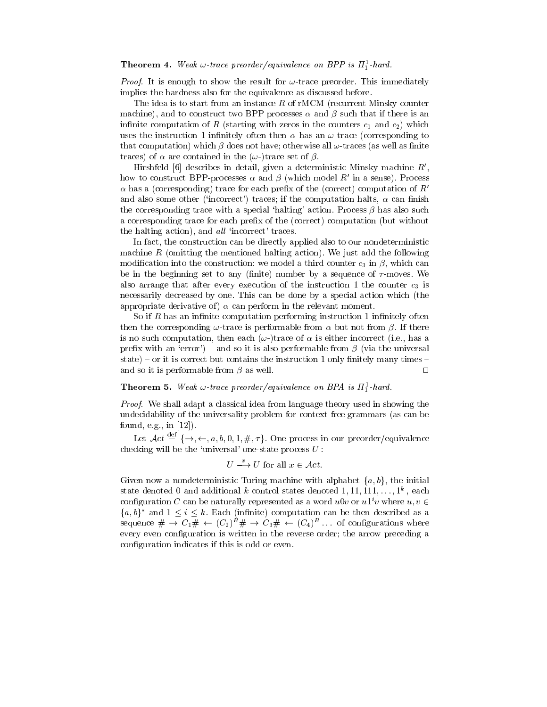### **Theorem 4.** Weak  $\omega$ -trace preorder/equivalence on BPP is  $\pi_1^2$ -hard.

*Proof.* It is enough to show the result for  $\omega$ -trace preorder. This immediately implies the hardness also for the equivalence as discussed before.

The idea is to start from an instance  $R$  of rMCM (recurrent Minsky counter machine), and to construct two BPP processes  $\alpha$  and  $\beta$  such that if there is an infinite computation of R (starting with zeros in the counters  $c_1$  and  $c_2$ ) which uses the instruction 1 infinitely often then  $\alpha$  has an  $\omega$ -trace (corresponding to that computation) which  $\beta$  does not have; otherwise all  $\omega$ -traces (as well as finite traces) of  $\alpha$  are contained in the  $(\omega$ -)trace set of  $\beta$ .

Hirshfeld [6] describes in detail, given a deterministic Minsky machine  $R'$ , how to construct BPP-processes  $\alpha$  and  $\beta$  (which model R' in a sense). Process  $\alpha$  has a (corresponding) trace for each prefix of the (correct) computation of R' and also some other ('incorrect') traces; if the computation halts,  $\alpha$  can finish the corresponding trace with a special 'halting' action. Process  $\beta$  has also such a corresponding trace for each prefix of the (correct) computation (but without the halting action), and  $all$  'incorrect' traces.

In fact, the construction can be directly applied also to our nondeterministic machine  $R$  (omitting the mentioned halting action). We just add the following modification into the construction: we model a third counter  $c_3$  in  $\beta$ , which can be in the beginning set to any (finite) number by a sequence of  $\tau$ -moves. We also arrange that after every execution of the instruction 1 the counter  $c_3$  is necessarily decreased by one. This can be done by a special action which (the appropriate derivative of)  $\alpha$  can perform in the relevant moment.

So if R has an infinite computation performing instruction 1 infinitely often then the corresponding  $\omega$ -trace is performable from  $\alpha$  but not from  $\beta$ . If there is no such computation, then each  $(\omega$ -)trace of  $\alpha$  is either incorrect (i.e., has a prefix with an 'error') – and so it is also performable from  $\beta$  (via the universal state) – or it is correct but contains the instruction 1 only finitely many times – and so it is performable from  $\beta$  as well.  $\Box$ 

**Theorem 5.** Weak  $\omega$ -trace preorder/equivalence on BPA is  $\Pi_1^{\perp}$ -hard.

Proof. We shall adapt a classical idea from language theory used in showing the undecidability of the universality problem for context-free grammars (as can be found, e.g., in [12]).

Let  $\mathcal{A}ct \stackrel{\text{def}}{=} {\{\rightarrow, \leftarrow, a, b, 0, 1, \#, \tau\}}$ . One process in our preorder/equivalence checking will be the 'universal' one-state process  $U$ :

$$
U \stackrel{x}{\longrightarrow} U
$$
 for all  $x \in \mathcal{A}ct$ .

Given now a nondeterministic Turing machine with alphabet  $\{a, b\}$ , the initial state denoted 0 and additional  $\kappa$  control states denoted 1,11,111,...,1", each configuration C can be naturally represented as a word  $u0v$  or  $u1^iv$  where  $u, v \in$  ${a, b}^*$  and  $1 \le i \le k$ . Each (infinite) computation can be then described as a sequence  $\# \to C_1\# \leftarrow (C_2) \# \to C_3\# \leftarrow (C_4)$ ... or connigurations where every even configuration is written in the reverse order; the arrow preceding a configuration indicates if this is odd or even.